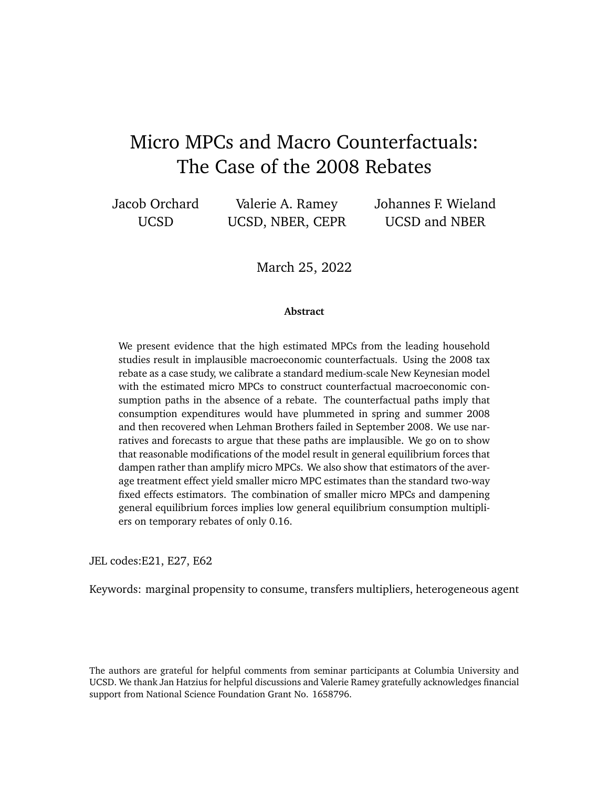# Micro MPCs and Macro Counterfactuals: The Case of the 2008 Rebates

Jacob Orchard UCSD

Valerie A. Ramey UCSD, NBER, CEPR Johannes F. Wieland UCSD and NBER

March 25, 2022

#### **Abstract**

We present evidence that the high estimated MPCs from the leading household studies result in implausible macroeconomic counterfactuals. Using the 2008 tax rebate as a case study, we calibrate a standard medium-scale New Keynesian model with the estimated micro MPCs to construct counterfactual macroeconomic consumption paths in the absence of a rebate. The counterfactual paths imply that consumption expenditures would have plummeted in spring and summer 2008 and then recovered when Lehman Brothers failed in September 2008. We use narratives and forecasts to argue that these paths are implausible. We go on to show that reasonable modifications of the model result in general equilibrium forces that dampen rather than amplify micro MPCs. We also show that estimators of the average treatment effect yield smaller micro MPC estimates than the standard two-way fixed effects estimators. The combination of smaller micro MPCs and dampening general equilibrium forces implies low general equilibrium consumption multipliers on temporary rebates of only 0.16.

JEL codes:E21, E27, E62

Keywords: marginal propensity to consume, transfers multipliers, heterogeneous agent

The authors are grateful for helpful comments from seminar participants at Columbia University and UCSD. We thank Jan Hatzius for helpful discussions and Valerie Ramey gratefully acknowledges financial support from National Science Foundation Grant No. 1658796.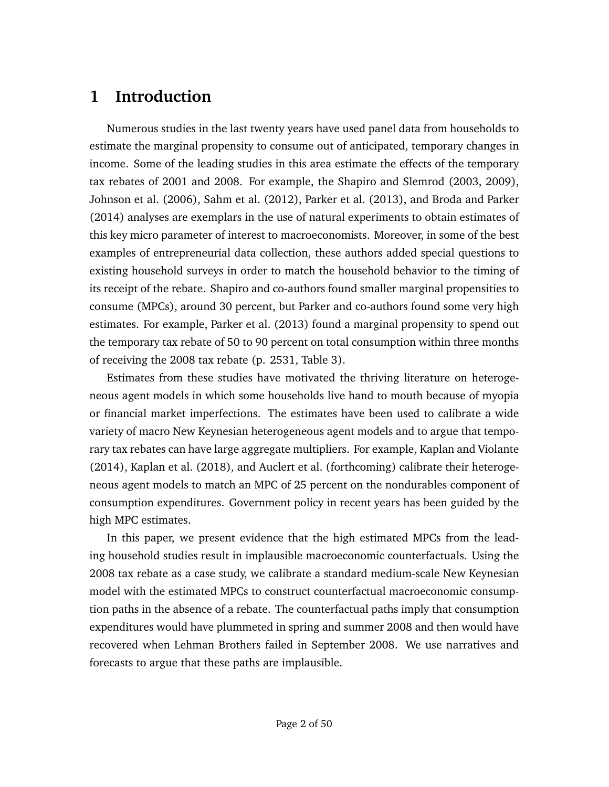# **1 Introduction**

Numerous studies in the last twenty years have used panel data from households to estimate the marginal propensity to consume out of anticipated, temporary changes in income. Some of the leading studies in this area estimate the effects of the temporary tax rebates of 2001 and 2008. For example, the [Shapiro and Slemrod](#page-39-0) [\(2003,](#page-39-0) [2009\)](#page-39-1), [Johnson et al.](#page-39-2) [\(2006\)](#page-39-2), [Sahm et al.](#page-39-3) [\(2012\)](#page-39-3), [Parker et al.](#page-39-4) [\(2013\)](#page-39-4), and [Broda and Parker](#page-38-0) [\(2014\)](#page-38-0) analyses are exemplars in the use of natural experiments to obtain estimates of this key micro parameter of interest to macroeconomists. Moreover, in some of the best examples of entrepreneurial data collection, these authors added special questions to existing household surveys in order to match the household behavior to the timing of its receipt of the rebate. Shapiro and co-authors found smaller marginal propensities to consume (MPCs), around 30 percent, but Parker and co-authors found some very high estimates. For example, [Parker et al.](#page-39-4) [\(2013\)](#page-39-4) found a marginal propensity to spend out the temporary tax rebate of 50 to 90 percent on total consumption within three months of receiving the 2008 tax rebate (p. 2531, Table 3).

Estimates from these studies have motivated the thriving literature on heterogeneous agent models in which some households live hand to mouth because of myopia or financial market imperfections. The estimates have been used to calibrate a wide variety of macro New Keynesian heterogeneous agent models and to argue that temporary tax rebates can have large aggregate multipliers. For example, [Kaplan and Violante](#page-39-5) [\(2014\)](#page-39-5), [Kaplan et al.](#page-39-6) [\(2018\)](#page-39-6), and [Auclert et al.](#page-38-1) [\(forthcoming\)](#page-38-1) calibrate their heterogeneous agent models to match an MPC of 25 percent on the nondurables component of consumption expenditures. Government policy in recent years has been guided by the high MPC estimates.

In this paper, we present evidence that the high estimated MPCs from the leading household studies result in implausible macroeconomic counterfactuals. Using the 2008 tax rebate as a case study, we calibrate a standard medium-scale New Keynesian model with the estimated MPCs to construct counterfactual macroeconomic consumption paths in the absence of a rebate. The counterfactual paths imply that consumption expenditures would have plummeted in spring and summer 2008 and then would have recovered when Lehman Brothers failed in September 2008. We use narratives and forecasts to argue that these paths are implausible.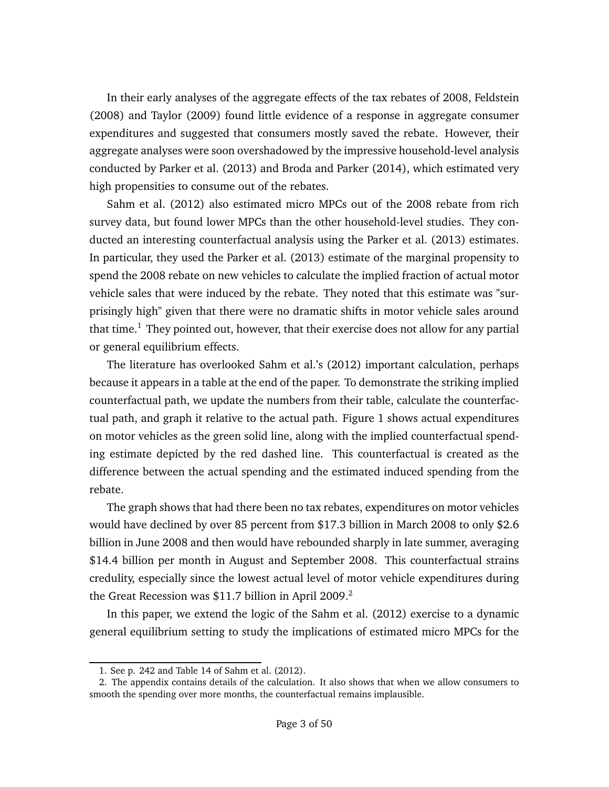In their early analyses of the aggregate effects of the tax rebates of 2008, [Feldstein](#page-38-2) [\(2008\)](#page-38-2) and [Taylor](#page-40-0) [\(2009\)](#page-40-0) found little evidence of a response in aggregate consumer expenditures and suggested that consumers mostly saved the rebate. However, their aggregate analyses were soon overshadowed by the impressive household-level analysis conducted by [Parker et al.](#page-39-4) [\(2013\)](#page-39-4) and [Broda and Parker](#page-38-0) [\(2014\)](#page-38-0), which estimated very high propensities to consume out of the rebates.

[Sahm et al.](#page-39-3) [\(2012\)](#page-39-3) also estimated micro MPCs out of the 2008 rebate from rich survey data, but found lower MPCs than the other household-level studies. They conducted an interesting counterfactual analysis using the [Parker et al.](#page-39-4) [\(2013\)](#page-39-4) estimates. In particular, they used the [Parker et al.](#page-39-4) [\(2013\)](#page-39-4) estimate of the marginal propensity to spend the 2008 rebate on new vehicles to calculate the implied fraction of actual motor vehicle sales that were induced by the rebate. They noted that this estimate was "surprisingly high" given that there were no dramatic shifts in motor vehicle sales around that time.<sup>[1](#page-2-0)</sup> They pointed out, however, that their exercise does not allow for any partial or general equilibrium effects.

The literature has overlooked [Sahm et al.'](#page-39-3)s [\(2012\)](#page-39-3) important calculation, perhaps because it appears in a table at the end of the paper. To demonstrate the striking implied counterfactual path, we update the numbers from their table, calculate the counterfactual path, and graph it relative to the actual path. Figure [1](#page-3-0) shows actual expenditures on motor vehicles as the green solid line, along with the implied counterfactual spending estimate depicted by the red dashed line. This counterfactual is created as the difference between the actual spending and the estimated induced spending from the rebate.

The graph shows that had there been no tax rebates, expenditures on motor vehicles would have declined by over 85 percent from \$17.3 billion in March 2008 to only \$2.6 billion in June 2008 and then would have rebounded sharply in late summer, averaging \$14.4 billion per month in August and September 2008. This counterfactual strains credulity, especially since the lowest actual level of motor vehicle expenditures during the Great Recession was  $$11.7$  billion in April [2](#page-2-1)009.<sup>2</sup>

In this paper, we extend the logic of the [Sahm et al.](#page-39-3) [\(2012\)](#page-39-3) exercise to a dynamic general equilibrium setting to study the implications of estimated micro MPCs for the

<span id="page-2-1"></span><span id="page-2-0"></span><sup>1.</sup> See p. 242 and Table 14 of [Sahm et al.](#page-39-3) [\(2012\)](#page-39-3).

<sup>2.</sup> The appendix contains details of the calculation. It also shows that when we allow consumers to smooth the spending over more months, the counterfactual remains implausible.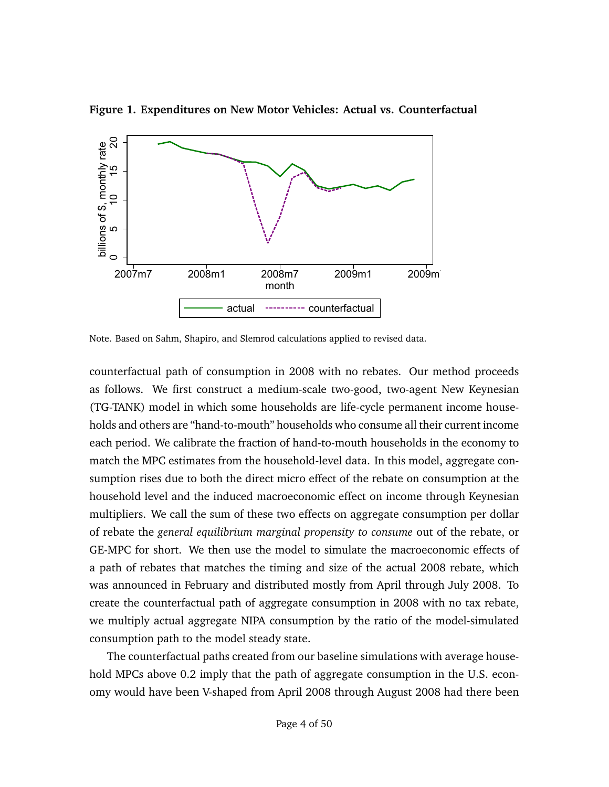

<span id="page-3-0"></span>**Figure 1. Expenditures on New Motor Vehicles: Actual vs. Counterfactual**

Note. Based on Sahm, Shapiro, and Slemrod calculations applied to revised data.

counterfactual path of consumption in 2008 with no rebates. Our method proceeds as follows. We first construct a medium-scale two-good, two-agent New Keynesian (TG-TANK) model in which some households are life-cycle permanent income households and others are "hand-to-mouth" households who consume all their current income each period. We calibrate the fraction of hand-to-mouth households in the economy to match the MPC estimates from the household-level data. In this model, aggregate consumption rises due to both the direct micro effect of the rebate on consumption at the household level and the induced macroeconomic effect on income through Keynesian multipliers. We call the sum of these two effects on aggregate consumption per dollar of rebate the *general equilibrium marginal propensity to consume* out of the rebate, or GE-MPC for short. We then use the model to simulate the macroeconomic effects of a path of rebates that matches the timing and size of the actual 2008 rebate, which was announced in February and distributed mostly from April through July 2008. To create the counterfactual path of aggregate consumption in 2008 with no tax rebate, we multiply actual aggregate NIPA consumption by the ratio of the model-simulated consumption path to the model steady state.

The counterfactual paths created from our baseline simulations with average household MPCs above 0.2 imply that the path of aggregate consumption in the U.S. economy would have been V-shaped from April 2008 through August 2008 had there been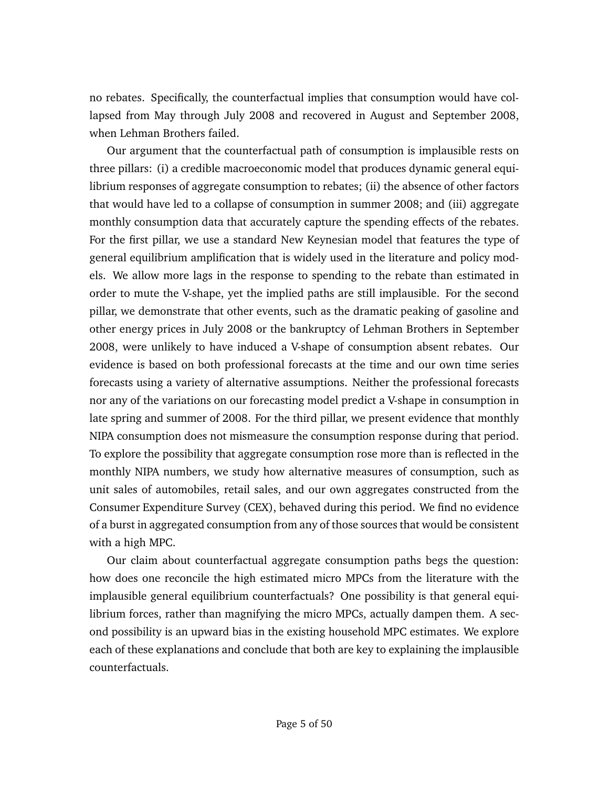no rebates. Specifically, the counterfactual implies that consumption would have collapsed from May through July 2008 and recovered in August and September 2008, when Lehman Brothers failed.

Our argument that the counterfactual path of consumption is implausible rests on three pillars: (i) a credible macroeconomic model that produces dynamic general equilibrium responses of aggregate consumption to rebates; (ii) the absence of other factors that would have led to a collapse of consumption in summer 2008; and (iii) aggregate monthly consumption data that accurately capture the spending effects of the rebates. For the first pillar, we use a standard New Keynesian model that features the type of general equilibrium amplification that is widely used in the literature and policy models. We allow more lags in the response to spending to the rebate than estimated in order to mute the V-shape, yet the implied paths are still implausible. For the second pillar, we demonstrate that other events, such as the dramatic peaking of gasoline and other energy prices in July 2008 or the bankruptcy of Lehman Brothers in September 2008, were unlikely to have induced a V-shape of consumption absent rebates. Our evidence is based on both professional forecasts at the time and our own time series forecasts using a variety of alternative assumptions. Neither the professional forecasts nor any of the variations on our forecasting model predict a V-shape in consumption in late spring and summer of 2008. For the third pillar, we present evidence that monthly NIPA consumption does not mismeasure the consumption response during that period. To explore the possibility that aggregate consumption rose more than is reflected in the monthly NIPA numbers, we study how alternative measures of consumption, such as unit sales of automobiles, retail sales, and our own aggregates constructed from the Consumer Expenditure Survey (CEX), behaved during this period. We find no evidence of a burst in aggregated consumption from any of those sources that would be consistent with a high MPC.

Our claim about counterfactual aggregate consumption paths begs the question: how does one reconcile the high estimated micro MPCs from the literature with the implausible general equilibrium counterfactuals? One possibility is that general equilibrium forces, rather than magnifying the micro MPCs, actually dampen them. A second possibility is an upward bias in the existing household MPC estimates. We explore each of these explanations and conclude that both are key to explaining the implausible counterfactuals.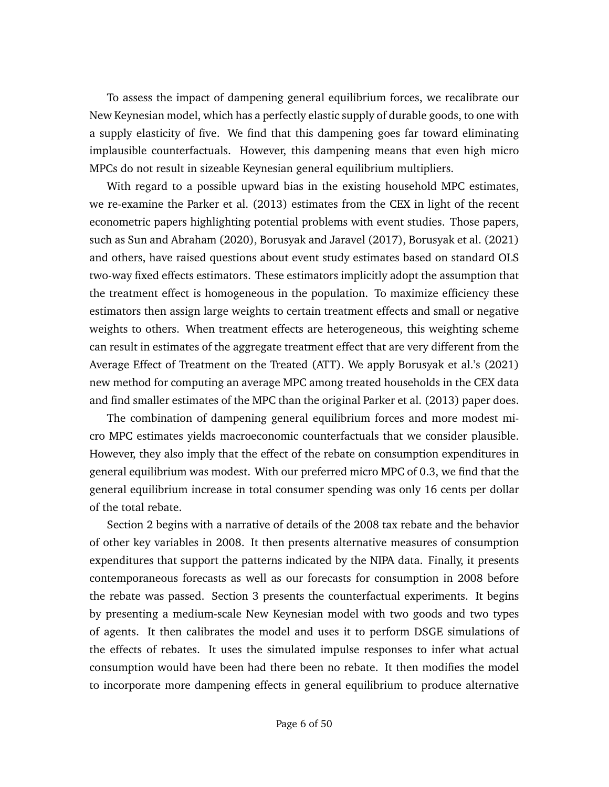To assess the impact of dampening general equilibrium forces, we recalibrate our New Keynesian model, which has a perfectly elastic supply of durable goods, to one with a supply elasticity of five. We find that this dampening goes far toward eliminating implausible counterfactuals. However, this dampening means that even high micro MPCs do not result in sizeable Keynesian general equilibrium multipliers.

With regard to a possible upward bias in the existing household MPC estimates, we re-examine the [Parker et al.](#page-39-4) [\(2013\)](#page-39-4) estimates from the CEX in light of the recent econometric papers highlighting potential problems with event studies. Those papers, such as [Sun and Abraham](#page-40-1) [\(2020\)](#page-40-1), [Borusyak and Jaravel](#page-38-3) [\(2017\)](#page-38-3), [Borusyak et al.](#page-38-4) [\(2021\)](#page-38-4) and others, have raised questions about event study estimates based on standard OLS two-way fixed effects estimators. These estimators implicitly adopt the assumption that the treatment effect is homogeneous in the population. To maximize efficiency these estimators then assign large weights to certain treatment effects and small or negative weights to others. When treatment effects are heterogeneous, this weighting scheme can result in estimates of the aggregate treatment effect that are very different from the Average Effect of Treatment on the Treated (ATT). We apply [Borusyak et al.'](#page-38-4)s [\(2021\)](#page-38-4) new method for computing an average MPC among treated households in the CEX data and find smaller estimates of the MPC than the original [Parker et al.](#page-39-4) [\(2013\)](#page-39-4) paper does.

The combination of dampening general equilibrium forces and more modest micro MPC estimates yields macroeconomic counterfactuals that we consider plausible. However, they also imply that the effect of the rebate on consumption expenditures in general equilibrium was modest. With our preferred micro MPC of 0.3, we find that the general equilibrium increase in total consumer spending was only 16 cents per dollar of the total rebate.

Section [2](#page-6-0) begins with a narrative of details of the 2008 tax rebate and the behavior of other key variables in 2008. It then presents alternative measures of consumption expenditures that support the patterns indicated by the NIPA data. Finally, it presents contemporaneous forecasts as well as our forecasts for consumption in 2008 before the rebate was passed. Section [3](#page-16-0) presents the counterfactual experiments. It begins by presenting a medium-scale New Keynesian model with two goods and two types of agents. It then calibrates the model and uses it to perform DSGE simulations of the effects of rebates. It uses the simulated impulse responses to infer what actual consumption would have been had there been no rebate. It then modifies the model to incorporate more dampening effects in general equilibrium to produce alternative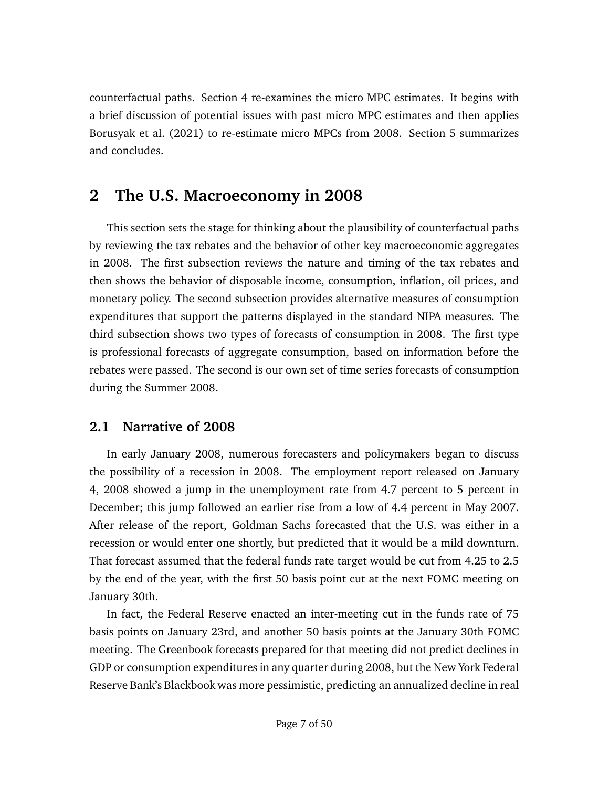counterfactual paths. Section [4](#page-28-0) re-examines the micro MPC estimates. It begins with a brief discussion of potential issues with past micro MPC estimates and then applies [Borusyak et al.](#page-38-4) [\(2021\)](#page-38-4) to re-estimate micro MPCs from 2008. Section [5](#page-34-0) summarizes and concludes.

# <span id="page-6-0"></span>**2 The U.S. Macroeconomy in 2008**

This section sets the stage for thinking about the plausibility of counterfactual paths by reviewing the tax rebates and the behavior of other key macroeconomic aggregates in 2008. The first subsection reviews the nature and timing of the tax rebates and then shows the behavior of disposable income, consumption, inflation, oil prices, and monetary policy. The second subsection provides alternative measures of consumption expenditures that support the patterns displayed in the standard NIPA measures. The third subsection shows two types of forecasts of consumption in 2008. The first type is professional forecasts of aggregate consumption, based on information before the rebates were passed. The second is our own set of time series forecasts of consumption during the Summer 2008.

## **2.1 Narrative of 2008**

In early January 2008, numerous forecasters and policymakers began to discuss the possibility of a recession in 2008. The employment report released on January 4, 2008 showed a jump in the unemployment rate from 4.7 percent to 5 percent in December; this jump followed an earlier rise from a low of 4.4 percent in May 2007. After release of the report, Goldman Sachs forecasted that the U.S. was either in a recession or would enter one shortly, but predicted that it would be a mild downturn. That forecast assumed that the federal funds rate target would be cut from 4.25 to 2.5 by the end of the year, with the first 50 basis point cut at the next FOMC meeting on January 30th.

In fact, the Federal Reserve enacted an inter-meeting cut in the funds rate of 75 basis points on January 23rd, and another 50 basis points at the January 30th FOMC meeting. The Greenbook forecasts prepared for that meeting did not predict declines in GDP or consumption expenditures in any quarter during 2008, but the New York Federal Reserve Bank's Blackbook was more pessimistic, predicting an annualized decline in real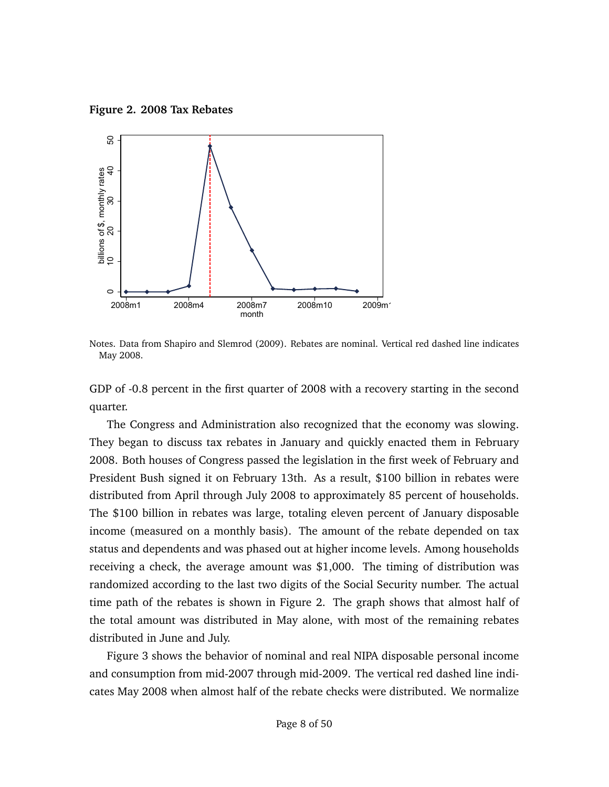<span id="page-7-0"></span>**Figure 2. 2008 Tax Rebates**



Notes. Data from [Shapiro and Slemrod](#page-39-1) [\(2009\)](#page-39-1). Rebates are nominal. Vertical red dashed line indicates May 2008.

GDP of -0.8 percent in the first quarter of 2008 with a recovery starting in the second quarter.

The Congress and Administration also recognized that the economy was slowing. They began to discuss tax rebates in January and quickly enacted them in February 2008. Both houses of Congress passed the legislation in the first week of February and President Bush signed it on February 13th. As a result, \$100 billion in rebates were distributed from April through July 2008 to approximately 85 percent of households. The \$100 billion in rebates was large, totaling eleven percent of January disposable income (measured on a monthly basis). The amount of the rebate depended on tax status and dependents and was phased out at higher income levels. Among households receiving a check, the average amount was \$1,000. The timing of distribution was randomized according to the last two digits of the Social Security number. The actual time path of the rebates is shown in Figure [2.](#page-7-0) The graph shows that almost half of the total amount was distributed in May alone, with most of the remaining rebates distributed in June and July.

Figure [3](#page-8-0) shows the behavior of nominal and real NIPA disposable personal income and consumption from mid-2007 through mid-2009. The vertical red dashed line indicates May 2008 when almost half of the rebate checks were distributed. We normalize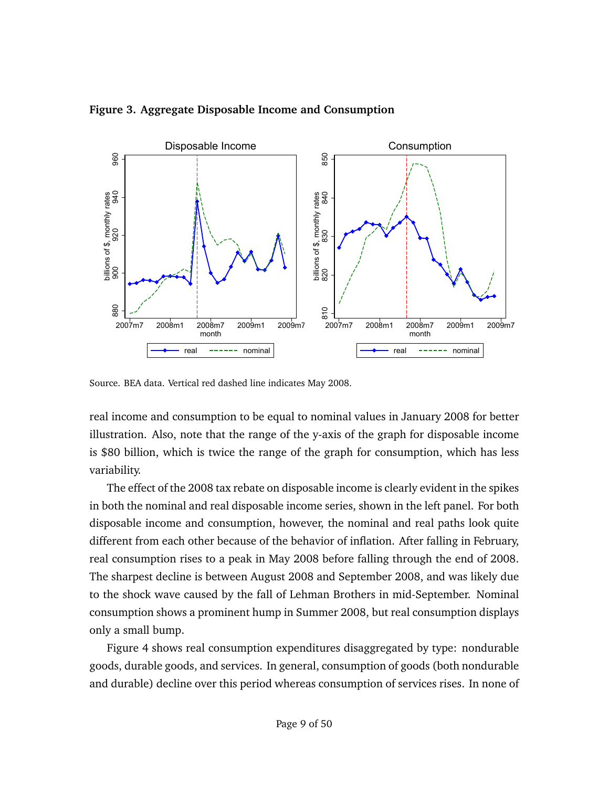

#### <span id="page-8-0"></span>**Figure 3. Aggregate Disposable Income and Consumption**

Source. BEA data. Vertical red dashed line indicates May 2008.

real income and consumption to be equal to nominal values in January 2008 for better illustration. Also, note that the range of the y-axis of the graph for disposable income is \$80 billion, which is twice the range of the graph for consumption, which has less variability.

The effect of the 2008 tax rebate on disposable income is clearly evident in the spikes in both the nominal and real disposable income series, shown in the left panel. For both disposable income and consumption, however, the nominal and real paths look quite different from each other because of the behavior of inflation. After falling in February, real consumption rises to a peak in May 2008 before falling through the end of 2008. The sharpest decline is between August 2008 and September 2008, and was likely due to the shock wave caused by the fall of Lehman Brothers in mid-September. Nominal consumption shows a prominent hump in Summer 2008, but real consumption displays only a small bump.

Figure [4](#page-9-0) shows real consumption expenditures disaggregated by type: nondurable goods, durable goods, and services. In general, consumption of goods (both nondurable and durable) decline over this period whereas consumption of services rises. In none of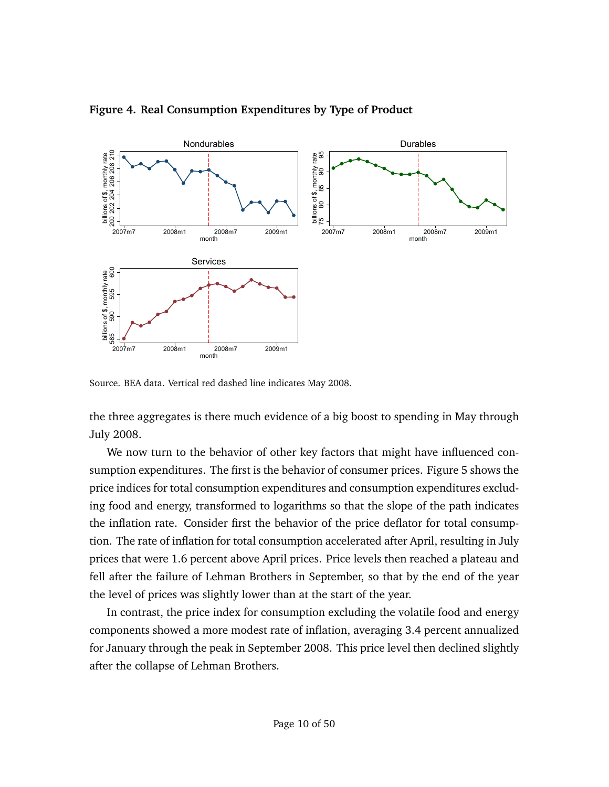

<span id="page-9-0"></span>**Figure 4. Real Consumption Expenditures by Type of Product**

Source. BEA data. Vertical red dashed line indicates May 2008.

the three aggregates is there much evidence of a big boost to spending in May through July 2008.

We now turn to the behavior of other key factors that might have influenced consumption expenditures. The first is the behavior of consumer prices. Figure [5](#page-10-0) shows the price indices for total consumption expenditures and consumption expenditures excluding food and energy, transformed to logarithms so that the slope of the path indicates the inflation rate. Consider first the behavior of the price deflator for total consumption. The rate of inflation for total consumption accelerated after April, resulting in July prices that were 1.6 percent above April prices. Price levels then reached a plateau and fell after the failure of Lehman Brothers in September, so that by the end of the year the level of prices was slightly lower than at the start of the year.

In contrast, the price index for consumption excluding the volatile food and energy components showed a more modest rate of inflation, averaging 3.4 percent annualized for January through the peak in September 2008. This price level then declined slightly after the collapse of Lehman Brothers.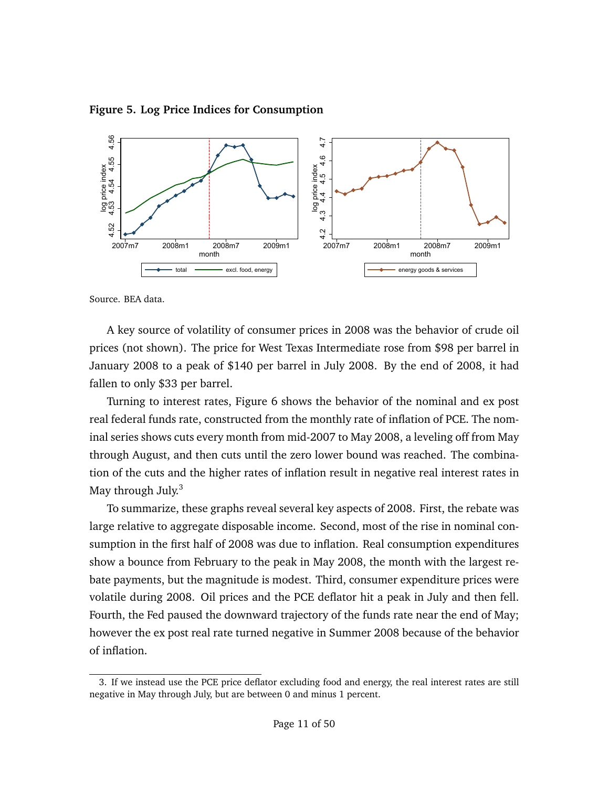#### <span id="page-10-0"></span>**Figure 5. Log Price Indices for Consumption**



Source. BEA data.

A key source of volatility of consumer prices in 2008 was the behavior of crude oil prices (not shown). The price for West Texas Intermediate rose from \$98 per barrel in January 2008 to a peak of \$140 per barrel in July 2008. By the end of 2008, it had fallen to only \$33 per barrel.

Turning to interest rates, Figure [6](#page-11-0) shows the behavior of the nominal and ex post real federal funds rate, constructed from the monthly rate of inflation of PCE. The nominal series shows cuts every month from mid-2007 to May 2008, a leveling off from May through August, and then cuts until the zero lower bound was reached. The combination of the cuts and the higher rates of inflation result in negative real interest rates in May through July.<sup>[3](#page-10-1)</sup>

To summarize, these graphs reveal several key aspects of 2008. First, the rebate was large relative to aggregate disposable income. Second, most of the rise in nominal consumption in the first half of 2008 was due to inflation. Real consumption expenditures show a bounce from February to the peak in May 2008, the month with the largest rebate payments, but the magnitude is modest. Third, consumer expenditure prices were volatile during 2008. Oil prices and the PCE deflator hit a peak in July and then fell. Fourth, the Fed paused the downward trajectory of the funds rate near the end of May; however the ex post real rate turned negative in Summer 2008 because of the behavior of inflation.

<span id="page-10-1"></span><sup>3.</sup> If we instead use the PCE price deflator excluding food and energy, the real interest rates are still negative in May through July, but are between 0 and minus 1 percent.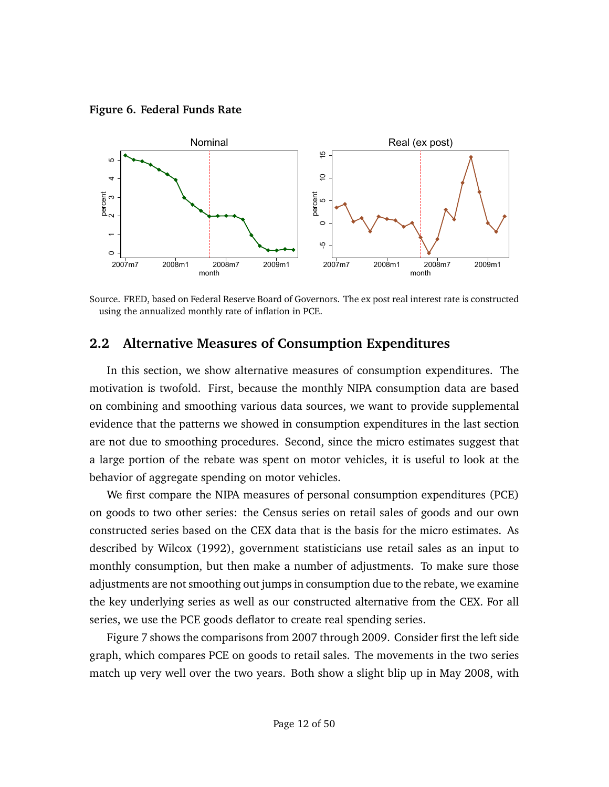<span id="page-11-0"></span>**Figure 6. Federal Funds Rate**



Source. FRED, based on Federal Reserve Board of Governors. The ex post real interest rate is constructed using the annualized monthly rate of inflation in PCE.

### **2.2 Alternative Measures of Consumption Expenditures**

In this section, we show alternative measures of consumption expenditures. The motivation is twofold. First, because the monthly NIPA consumption data are based on combining and smoothing various data sources, we want to provide supplemental evidence that the patterns we showed in consumption expenditures in the last section are not due to smoothing procedures. Second, since the micro estimates suggest that a large portion of the rebate was spent on motor vehicles, it is useful to look at the behavior of aggregate spending on motor vehicles.

We first compare the NIPA measures of personal consumption expenditures (PCE) on goods to two other series: the Census series on retail sales of goods and our own constructed series based on the CEX data that is the basis for the micro estimates. As described by [Wilcox](#page-40-2) [\(1992\)](#page-40-2), government statisticians use retail sales as an input to monthly consumption, but then make a number of adjustments. To make sure those adjustments are not smoothing out jumps in consumption due to the rebate, we examine the key underlying series as well as our constructed alternative from the CEX. For all series, we use the PCE goods deflator to create real spending series.

Figure [7](#page-12-0) shows the comparisons from 2007 through 2009. Consider first the left side graph, which compares PCE on goods to retail sales. The movements in the two series match up very well over the two years. Both show a slight blip up in May 2008, with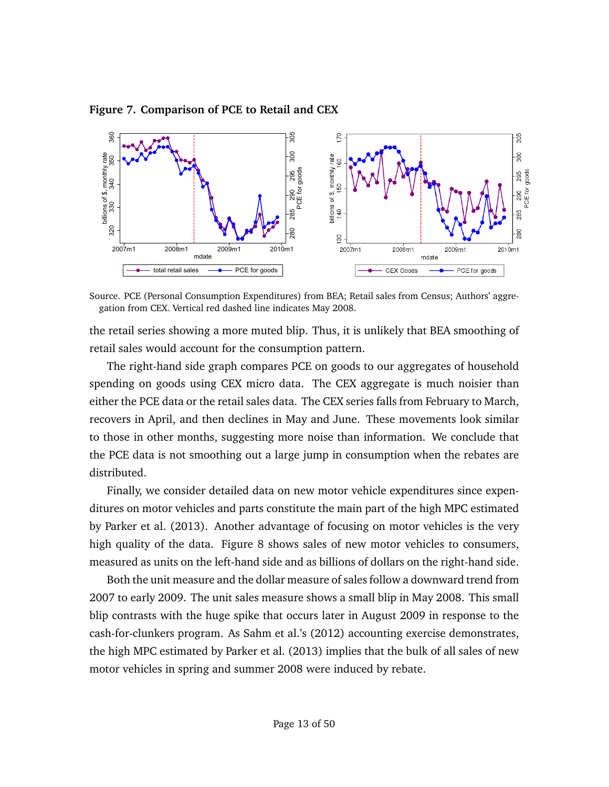<span id="page-12-0"></span>**Figure 7. Comparison of PCE to Retail and CEX**



Source. PCE (Personal Consumption Expenditures) from BEA; Retail sales from Census; Authors' aggregation from CEX. Vertical red dashed line indicates May 2008.

the retail series showing a more muted blip. Thus, it is unlikely that BEA smoothing of retail sales would account for the consumption pattern.

The right-hand side graph compares PCE on goods to our aggregates of household spending on goods using CEX micro data. The CEX aggregate is much noisier than either the PCE data or the retail sales data. The CEX series falls from February to March, recovers in April, and then declines in May and June. These movements look similar to those in other months, suggesting more noise than information. We conclude that the PCE data is not smoothing out a large jump in consumption when the rebates are distributed.

Finally, we consider detailed data on new motor vehicle expenditures since expenditures on motor vehicles and parts constitute the main part of the high MPC estimated by [Parker et al.](#page-39-4) [\(2013\)](#page-39-4). Another advantage of focusing on motor vehicles is the very high quality of the data. Figure [8](#page-13-0) shows sales of new motor vehicles to consumers, measured as units on the left-hand side and as billions of dollars on the right-hand side.

Both the unit measure and the dollar measure of sales follow a downward trend from 2007 to early 2009. The unit sales measure shows a small blip in May 2008. This small blip contrasts with the huge spike that occurs later in August 2009 in response to the cash-for-clunkers program. As [Sahm et al.'](#page-39-3)s [\(2012\)](#page-39-3) accounting exercise demonstrates, the high MPC estimated by [Parker et al.](#page-39-4) [\(2013\)](#page-39-4) implies that the bulk of all sales of new motor vehicles in spring and summer 2008 were induced by rebate.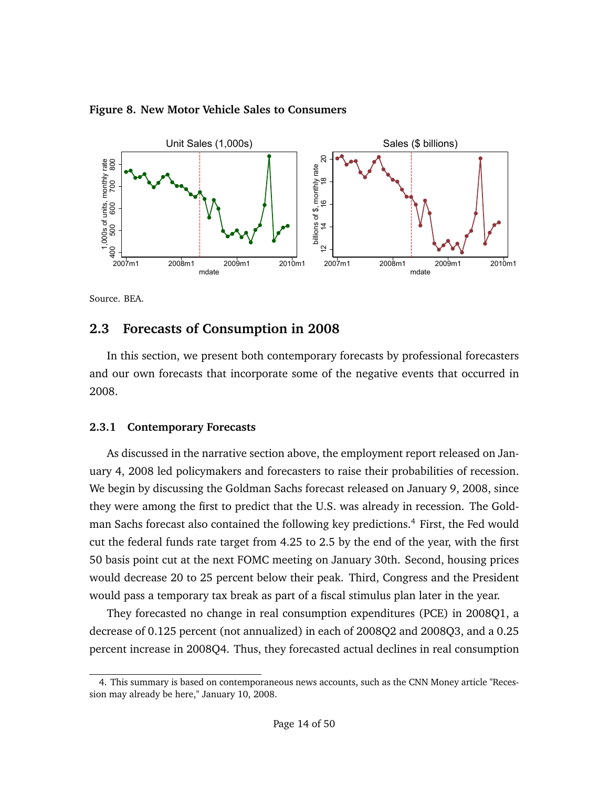

#### <span id="page-13-0"></span>**Figure 8. New Motor Vehicle Sales to Consumers**

Source. BEA.

## **2.3 Forecasts of Consumption in 2008**

In this section, we present both contemporary forecasts by professional forecasters and our own forecasts that incorporate some of the negative events that occurred in 2008.

### **2.3.1 Contemporary Forecasts**

As discussed in the narrative section above, the employment report released on January 4, 2008 led policymakers and forecasters to raise their probabilities of recession. We begin by discussing the Goldman Sachs forecast released on January 9, 2008, since they were among the first to predict that the U.S. was already in recession. The Gold-man Sachs forecast also contained the following key predictions.<sup>[4](#page-13-1)</sup> First, the Fed would cut the federal funds rate target from 4.25 to 2.5 by the end of the year, with the first 50 basis point cut at the next FOMC meeting on January 30th. Second, housing prices would decrease 20 to 25 percent below their peak. Third, Congress and the President would pass a temporary tax break as part of a fiscal stimulus plan later in the year.

They forecasted no change in real consumption expenditures (PCE) in 2008Q1, a decrease of 0.125 percent (not annualized) in each of 2008Q2 and 2008Q3, and a 0.25 percent increase in 2008Q4. Thus, they forecasted actual declines in real consumption

<span id="page-13-1"></span><sup>4.</sup> This summary is based on contemporaneous news accounts, such as the CNN Money article "Recession may already be here," January 10, 2008.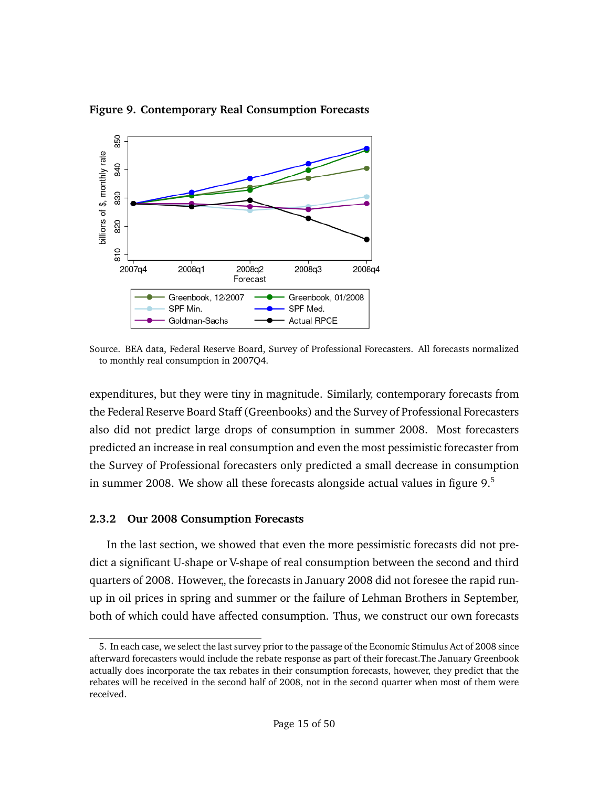<span id="page-14-0"></span>**Figure 9. Contemporary Real Consumption Forecasts** 850



Source. BEA data, Federal Reserve Board, Survey of Professional Forecasters. All forecasts normalized to monthly real consumption in 2007Q4.

expenditures, but they were tiny in magnitude. Similarly, contemporary forecasts from the Federal Reserve Board Staff (Greenbooks) and the Survey of Professional Forecasters also did not predict large drops of consumption in summer 2008. Most forecasters predicted an increase in real consumption and even the most pessimistic forecaster from the Survey of Professional forecasters only predicted a small decrease in consumption in summer 2008. We show all these forecasts alongside actual values in figure  $9.5$  $9.5$ 

### **2.3.2 Our 2008 Consumption Forecasts**

In the last section, we showed that even the more pessimistic forecasts did not predict a significant U-shape or V-shape of real consumption between the second and third quarters of 2008. However,, the forecasts in January 2008 did not foresee the rapid runup in oil prices in spring and summer or the failure of Lehman Brothers in September, both of which could have affected consumption. Thus, we construct our own forecasts

<span id="page-14-1"></span><sup>5.</sup> In each case, we select the last survey prior to the passage of the Economic Stimulus Act of 2008 since afterward forecasters would include the rebate response as part of their forecast.The January Greenbook actually does incorporate the tax rebates in their consumption forecasts, however, they predict that the rebates will be received in the second half of 2008, not in the second quarter when most of them were received.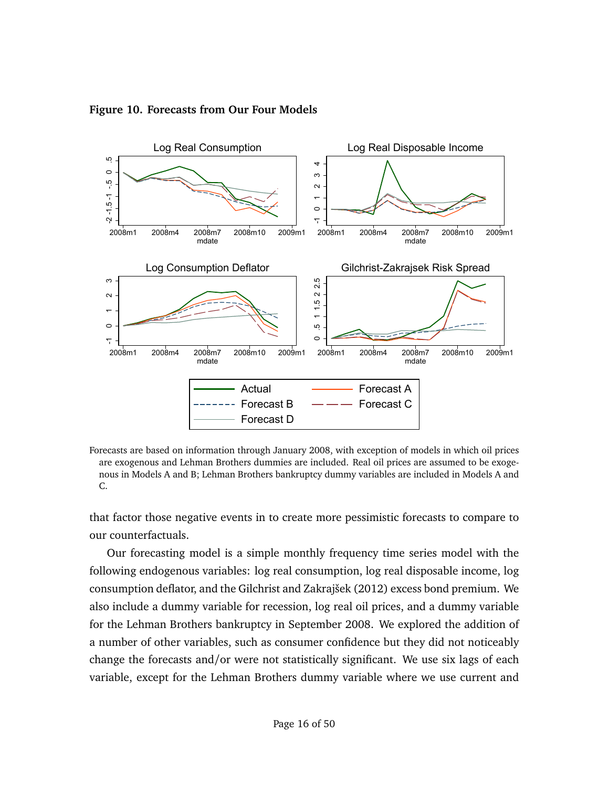

<span id="page-15-0"></span>**Figure 10. Forecasts from Our Four Models**

Forecasts are based on information through January 2008, with exception of models in which oil prices are exogenous and Lehman Brothers dummies are included. Real oil prices are assumed to be exogenous in Models A and B; Lehman Brothers bankruptcy dummy variables are included in Models A and C.

that factor those negative events in to create more pessimistic forecasts to compare to our counterfactuals.

Our forecasting model is a simple monthly frequency time series model with the following endogenous variables: log real consumption, log real disposable income, log consumption deflator, and the [Gilchrist and Zakrajšek](#page-38-5) [\(2012\)](#page-38-5) excess bond premium. We also include a dummy variable for recession, log real oil prices, and a dummy variable for the Lehman Brothers bankruptcy in September 2008. We explored the addition of a number of other variables, such as consumer confidence but they did not noticeably change the forecasts and/or were not statistically significant. We use six lags of each variable, except for the Lehman Brothers dummy variable where we use current and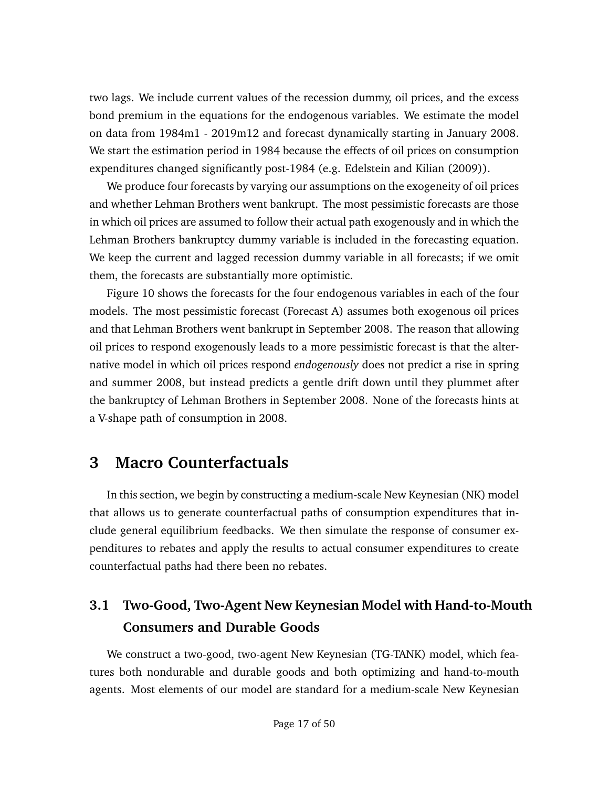two lags. We include current values of the recession dummy, oil prices, and the excess bond premium in the equations for the endogenous variables. We estimate the model on data from 1984m1 - 2019m12 and forecast dynamically starting in January 2008. We start the estimation period in 1984 because the effects of oil prices on consumption expenditures changed significantly post-1984 (e.g. [Edelstein and Kilian](#page-38-6) [\(2009\)](#page-38-6)).

We produce four forecasts by varying our assumptions on the exogeneity of oil prices and whether Lehman Brothers went bankrupt. The most pessimistic forecasts are those in which oil prices are assumed to follow their actual path exogenously and in which the Lehman Brothers bankruptcy dummy variable is included in the forecasting equation. We keep the current and lagged recession dummy variable in all forecasts; if we omit them, the forecasts are substantially more optimistic.

Figure [10](#page-15-0) shows the forecasts for the four endogenous variables in each of the four models. The most pessimistic forecast (Forecast A) assumes both exogenous oil prices and that Lehman Brothers went bankrupt in September 2008. The reason that allowing oil prices to respond exogenously leads to a more pessimistic forecast is that the alternative model in which oil prices respond *endogenously* does not predict a rise in spring and summer 2008, but instead predicts a gentle drift down until they plummet after the bankruptcy of Lehman Brothers in September 2008. None of the forecasts hints at a V-shape path of consumption in 2008.

## <span id="page-16-0"></span>**3 Macro Counterfactuals**

In this section, we begin by constructing a medium-scale New Keynesian (NK) model that allows us to generate counterfactual paths of consumption expenditures that include general equilibrium feedbacks. We then simulate the response of consumer expenditures to rebates and apply the results to actual consumer expenditures to create counterfactual paths had there been no rebates.

# **3.1 Two-Good, Two-Agent New Keynesian Model with Hand-to-Mouth Consumers and Durable Goods**

We construct a two-good, two-agent New Keynesian (TG-TANK) model, which features both nondurable and durable goods and both optimizing and hand-to-mouth agents. Most elements of our model are standard for a medium-scale New Keynesian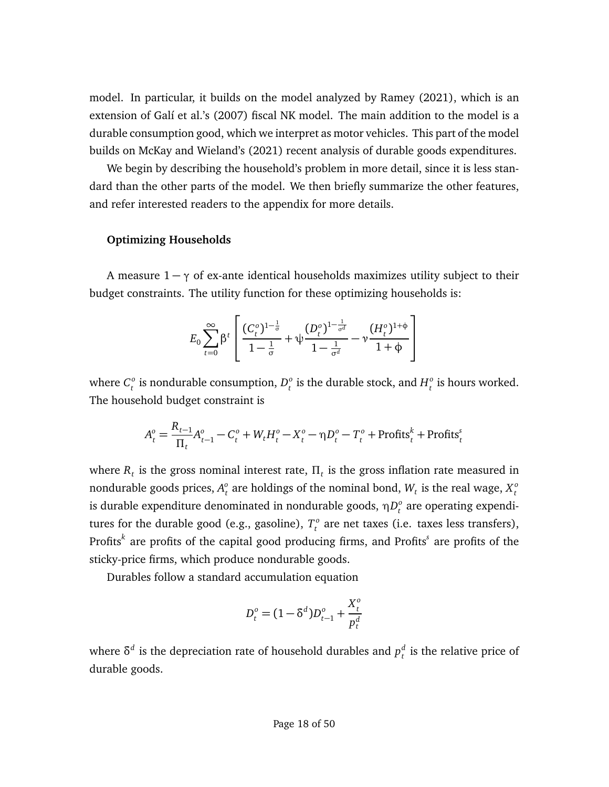model. In particular, it builds on the model analyzed by [Ramey](#page-39-7) [\(2021\)](#page-39-7), which is an extension of [Galí et al.'](#page-38-7)s [\(2007\)](#page-38-7) fiscal NK model. The main addition to the model is a durable consumption good, which we interpret as motor vehicles. This part of the model builds on [McKay and Wieland'](#page-39-8)s [\(2021\)](#page-39-8) recent analysis of durable goods expenditures.

We begin by describing the household's problem in more detail, since it is less standard than the other parts of the model. We then briefly summarize the other features, and refer interested readers to the appendix for more details.

#### **Optimizing Households**

A measure  $1 - \gamma$  of ex-ante identical households maximizes utility subject to their budget constraints. The utility function for these optimizing households is:

$$
E_0 \sum_{t=0}^{\infty} \beta^t \left[ \frac{(C_t^o)^{1-\frac{1}{\sigma}}}{1-\frac{1}{\sigma}} + \psi \frac{(D_t^o)^{1-\frac{1}{\sigma^d}}}{1-\frac{1}{\sigma^d}} - \psi \frac{(H_t^o)^{1+\phi}}{1+\phi} \right]
$$

where  $C_t^o$  $\frac{1}{t}$  is nondurable consumption,  $D_t^o$  $\frac{1}{t}$  is the durable stock, and  $H_t^o$ *t* is hours worked. The household budget constraint is

$$
A_t^o = \frac{R_{t-1}}{\Pi_t} A_{t-1}^o - C_t^o + W_t H_t^o - X_t^o - \eta D_t^o - T_t^o + \text{Profits}_t^k + \text{Profits}_t^s
$$

where  $R_t$  is the gross nominal interest rate,  $\Pi_t$  is the gross inflation rate measured in nondurable goods prices,  $A_r^o$  $\mathcal{L}_t^o$  are holdings of the nominal bond,  $W_t$  is the real wage,  $X_t^o$ *t* is durable expenditure denominated in nondurable goods, *η* D<sup>o</sup><sub>t</sub>  $\frac{1}{t}$  are operating expenditures for the durable good (e.g., gasoline),  $T_t^o$ *t* are net taxes (i.e. taxes less transfers), Profits*<sup>k</sup>* are profits of the capital good producing firms, and Profits*<sup>s</sup>* are profits of the sticky-price firms, which produce nondurable goods.

Durables follow a standard accumulation equation

$$
D_t^o = (1 - \delta^d) D_{t-1}^o + \frac{X_t^o}{p_t^d}
$$

where  $\delta^d$  is the depreciation rate of household durables and  $p_t^d$ *t* is the relative price of durable goods.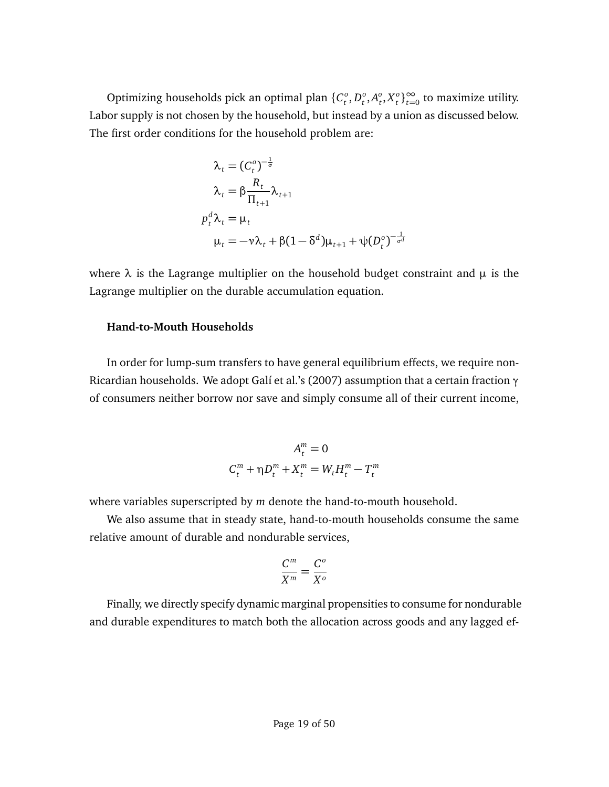Optimizing households pick an optimal plan {*C o*  $_t^o, D_t^o$  $_t^o, A_t^o$  $_t^0, X_t^0$  $\binom{0}{t}$ <sup>∞</sup><sub> $t=0$ </sub> to maximize utility. Labor supply is not chosen by the household, but instead by a union as discussed below. The first order conditions for the household problem are:

$$
\lambda_t = (C_t^o)^{-\frac{1}{\sigma}}
$$
\n
$$
\lambda_t = \beta \frac{R_t}{\Pi_{t+1}} \lambda_{t+1}
$$
\n
$$
p_t^d \lambda_t = \mu_t
$$
\n
$$
\mu_t = -\nu \lambda_t + \beta (1 - \delta^d) \mu_{t+1} + \psi (D_t^o)^{-\frac{1}{\sigma^d}}
$$

where *λ* is the Lagrange multiplier on the household budget constraint and *µ* is the Lagrange multiplier on the durable accumulation equation.

#### **Hand-to-Mouth Households**

In order for lump-sum transfers to have general equilibrium effects, we require non-Ricardian households. We adopt [Galí et al.'](#page-38-7)s [\(2007\)](#page-38-7) assumption that a certain fraction *γ* of consumers neither borrow nor save and simply consume all of their current income,

$$
A_t^m = 0
$$
  

$$
C_t^m + \eta D_t^m + X_t^m = W_t H_t^m - T_t^m
$$

where variables superscripted by *m* denote the hand-to-mouth household.

We also assume that in steady state, hand-to-mouth households consume the same relative amount of durable and nondurable services,

$$
\frac{C^m}{X^m} = \frac{C^o}{X^o}
$$

Finally, we directly specify dynamic marginal propensities to consume for nondurable and durable expenditures to match both the allocation across goods and any lagged ef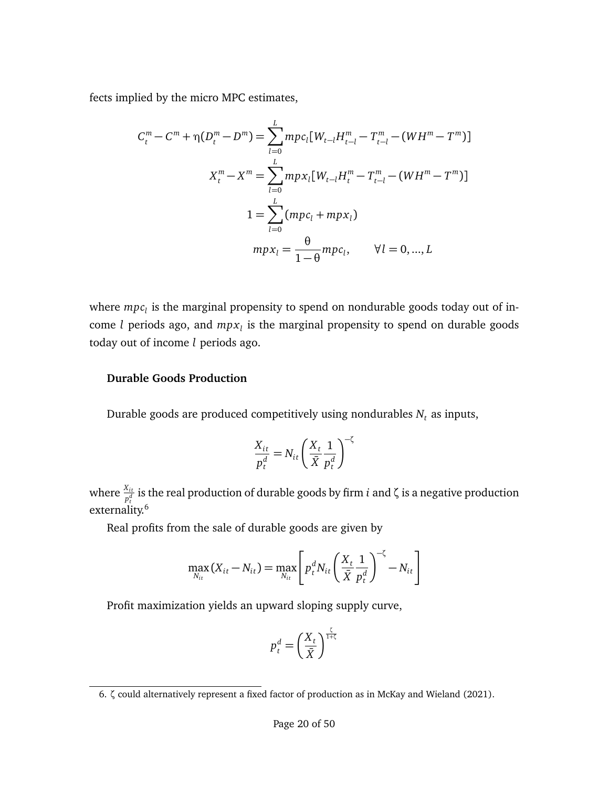fects implied by the micro MPC estimates,

$$
C_t^m - C^m + \eta(D_t^m - D^m) = \sum_{l=0}^L mpc_l[W_{t-l}H_{t-l}^m - T_{t-l}^m - (WH^m - T^m)]
$$
  

$$
X_t^m - X^m = \sum_{l=0}^L mpx_l[W_{t-l}H_t^m - T_{t-l}^m - (WH^m - T^m)]
$$
  

$$
1 = \sum_{l=0}^L (mpc_l + mpx_l)
$$
  

$$
mpx_l = \frac{\theta}{1-\theta}mpc_l, \qquad \forall l = 0, ..., L
$$

where *mpc<sup>l</sup>* is the marginal propensity to spend on nondurable goods today out of income *l* periods ago, and *mpx<sup>l</sup>* is the marginal propensity to spend on durable goods today out of income *l* periods ago.

### **Durable Goods Production**

Durable goods are produced competitively using nondurables  $N_t$  as inputs,

$$
\frac{X_{it}}{p_t^d} = N_{it} \left(\frac{X_t}{\bar{X}} \frac{1}{p_t^d}\right)^{-\zeta}
$$

where  $\frac{X_{it}}{p_t^d}$  is the real production of durable goods by firm  $i$  and  $\zeta$  is a negative production externality.<sup>[6](#page-19-0)</sup>

Real profits from the sale of durable goods are given by

$$
\max_{N_{it}} (X_{it} - N_{it}) = \max_{N_{it}} \left[ p_t^d N_{it} \left( \frac{X_t}{\bar{X}} \frac{1}{p_t^d} \right)^{-\zeta} - N_{it} \right]
$$

Profit maximization yields an upward sloping supply curve,

$$
p_t^d = \left(\frac{X_t}{\bar{X}}\right)^{\frac{\zeta}{1+\zeta}}
$$

<span id="page-19-0"></span><sup>6.</sup> *ζ* could alternatively represent a fixed factor of production as in [McKay and Wieland](#page-39-8) [\(2021\)](#page-39-8).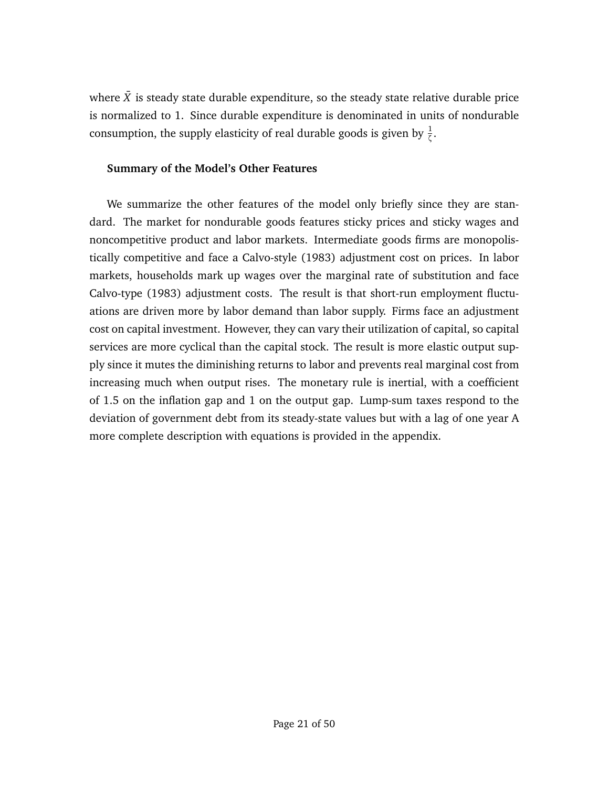where  $\bar{X}$  is steady state durable expenditure, so the steady state relative durable price is normalized to 1. Since durable expenditure is denominated in units of nondurable consumption, the supply elasticity of real durable goods is given by  $\frac{1}{\zeta}$ .

### **Summary of the Model's Other Features**

We summarize the other features of the model only briefly since they are standard. The market for nondurable goods features sticky prices and sticky wages and noncompetitive product and labor markets. Intermediate goods firms are monopolistically competitive and face a Calvo-style (1983) adjustment cost on prices. In labor markets, households mark up wages over the marginal rate of substitution and face Calvo-type (1983) adjustment costs. The result is that short-run employment fluctuations are driven more by labor demand than labor supply. Firms face an adjustment cost on capital investment. However, they can vary their utilization of capital, so capital services are more cyclical than the capital stock. The result is more elastic output supply since it mutes the diminishing returns to labor and prevents real marginal cost from increasing much when output rises. The monetary rule is inertial, with a coefficient of 1.5 on the inflation gap and 1 on the output gap. Lump-sum taxes respond to the deviation of government debt from its steady-state values but with a lag of one year A more complete description with equations is provided in the appendix.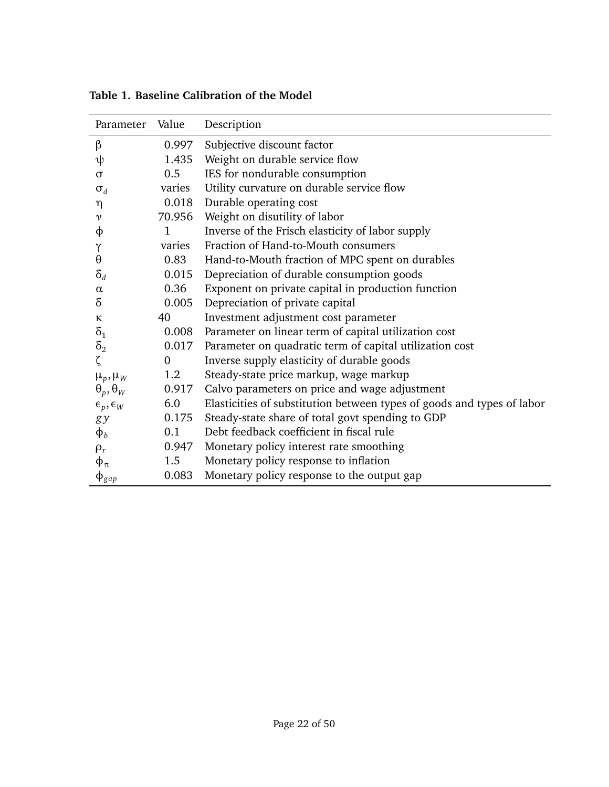| Parameter                | Value          | Description                                                            |
|--------------------------|----------------|------------------------------------------------------------------------|
| β                        | 0.997          | Subjective discount factor                                             |
| ψ                        | 1.435          | Weight on durable service flow                                         |
| $\sigma$                 | 0.5            | IES for nondurable consumption                                         |
| $\sigma_d$               | varies         | Utility curvature on durable service flow                              |
| η                        | 0.018          | Durable operating cost                                                 |
| $\mathcal V$             | 70.956         | Weight on disutility of labor                                          |
| φ                        | 1              | Inverse of the Frisch elasticity of labor supply                       |
| Υ                        | varies         | Fraction of Hand-to-Mouth consumers                                    |
| $\boldsymbol{\theta}$    | 0.83           | Hand-to-Mouth fraction of MPC spent on durables                        |
| $\delta_d$               | 0.015          | Depreciation of durable consumption goods                              |
| $\alpha$                 | 0.36           | Exponent on private capital in production function                     |
| δ                        | 0.005          | Depreciation of private capital                                        |
| к                        | 40             | Investment adjustment cost parameter                                   |
| $\delta_1$               | 0.008          | Parameter on linear term of capital utilization cost                   |
| $\delta_2$               | 0.017          | Parameter on quadratic term of capital utilization cost                |
| ζ                        | $\overline{0}$ | Inverse supply elasticity of durable goods                             |
| $\mu_p, \mu_W$           | 1.2            | Steady-state price markup, wage markup                                 |
| $\theta_p, \theta_W$     | 0.917          | Calvo parameters on price and wage adjustment                          |
| $\epsilon_p, \epsilon_W$ | 6.0            | Elasticities of substitution between types of goods and types of labor |
| g y                      | 0.175          | Steady-state share of total govt spending to GDP                       |
| $\phi_b$                 | 0.1            | Debt feedback coefficient in fiscal rule                               |
| $\rho_r$                 | 0.947          | Monetary policy interest rate smoothing                                |
| $\phi_\pi$               | 1.5            | Monetary policy response to inflation                                  |
| $\Phi_{gap}$             | 0.083          | Monetary policy response to the output gap                             |

<span id="page-21-0"></span>**Table 1. Baseline Calibration of the Model**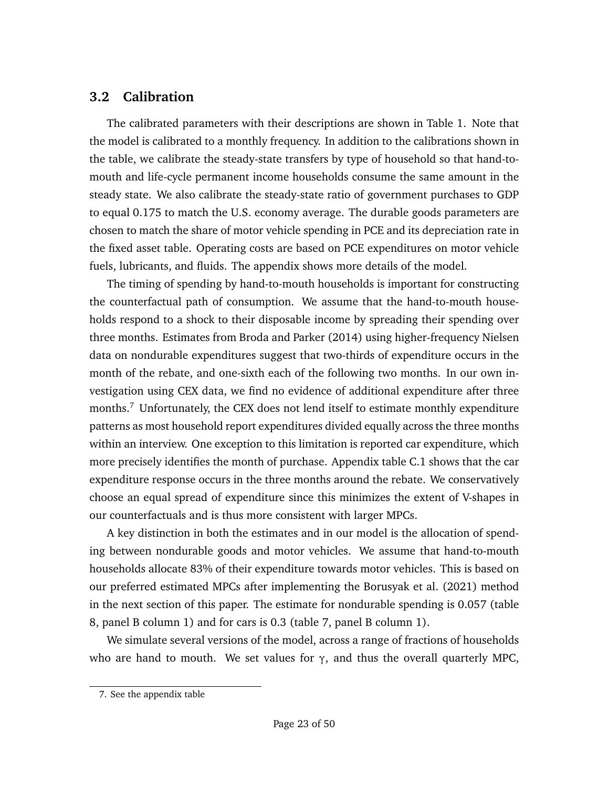## **3.2 Calibration**

The calibrated parameters with their descriptions are shown in Table [1.](#page-21-0) Note that the model is calibrated to a monthly frequency. In addition to the calibrations shown in the table, we calibrate the steady-state transfers by type of household so that hand-tomouth and life-cycle permanent income households consume the same amount in the steady state. We also calibrate the steady-state ratio of government purchases to GDP to equal 0.175 to match the U.S. economy average. The durable goods parameters are chosen to match the share of motor vehicle spending in PCE and its depreciation rate in the fixed asset table. Operating costs are based on PCE expenditures on motor vehicle fuels, lubricants, and fluids. The appendix shows more details of the model.

The timing of spending by hand-to-mouth households is important for constructing the counterfactual path of consumption. We assume that the hand-to-mouth households respond to a shock to their disposable income by spreading their spending over three months. Estimates from [Broda and Parker](#page-38-0) [\(2014\)](#page-38-0) using higher-frequency Nielsen data on nondurable expenditures suggest that two-thirds of expenditure occurs in the month of the rebate, and one-sixth each of the following two months. In our own investigation using CEX data, we find no evidence of additional expenditure after three months.<sup>[7](#page-22-0)</sup> Unfortunately, the CEX does not lend itself to estimate monthly expenditure patterns as most household report expenditures divided equally across the three months within an interview. One exception to this limitation is reported car expenditure, which more precisely identifies the month of purchase. Appendix table [C.1](#page-49-1) shows that the car expenditure response occurs in the three months around the rebate. We conservatively choose an equal spread of expenditure since this minimizes the extent of V-shapes in our counterfactuals and is thus more consistent with larger MPCs.

A key distinction in both the estimates and in our model is the allocation of spending between nondurable goods and motor vehicles. We assume that hand-to-mouth households allocate 83% of their expenditure towards motor vehicles. This is based on our preferred estimated MPCs after implementing the [Borusyak et al.](#page-38-4) [\(2021\)](#page-38-4) method in the next section of this paper. The estimate for nondurable spending is 0.057 (table [8,](#page-36-0) panel B column 1) and for cars is 0.3 (table [7,](#page-35-0) panel B column 1).

We simulate several versions of the model, across a range of fractions of households who are hand to mouth. We set values for *γ*, and thus the overall quarterly MPC,

<span id="page-22-0"></span><sup>7.</sup> See the appendix table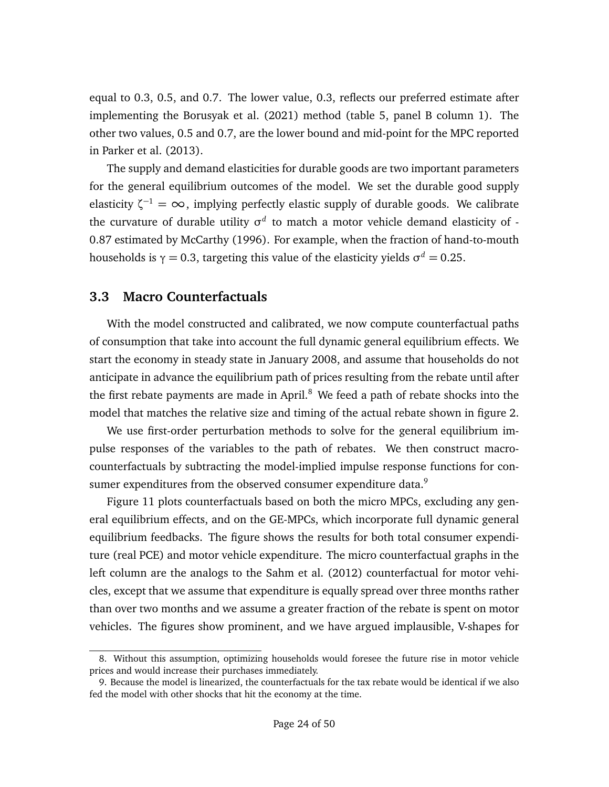equal to 0.3, 0.5, and 0.7. The lower value, 0.3, reflects our preferred estimate after implementing the [Borusyak et al.](#page-38-4) [\(2021\)](#page-38-4) method (table [5,](#page-32-0) panel B column 1). The other two values, 0.5 and 0.7, are the lower bound and mid-point for the MPC reported in [Parker et al.](#page-39-4) [\(2013\)](#page-39-4).

The supply and demand elasticities for durable goods are two important parameters for the general equilibrium outcomes of the model. We set the durable good supply elasticity *ζ* <sup>−</sup><sup>1</sup> <sup>=</sup> <sup>∞</sup>, implying perfectly elastic supply of durable goods. We calibrate the curvature of durable utility σ<sup>d</sup> to match a motor vehicle demand elasticity of -0.87 estimated by [McCarthy](#page-39-9) [\(1996\)](#page-39-9). For example, when the fraction of hand-to-mouth households is  $\gamma = 0.3$ , targeting this value of the elasticity yields  $\sigma^d = 0.25.$ 

### **3.3 Macro Counterfactuals**

With the model constructed and calibrated, we now compute counterfactual paths of consumption that take into account the full dynamic general equilibrium effects. We start the economy in steady state in January 2008, and assume that households do not anticipate in advance the equilibrium path of prices resulting from the rebate until after the first rebate payments are made in April.<sup>[8](#page-23-0)</sup> We feed a path of rebate shocks into the model that matches the relative size and timing of the actual rebate shown in figure [2.](#page-7-0)

We use first-order perturbation methods to solve for the general equilibrium impulse responses of the variables to the path of rebates. We then construct macrocounterfactuals by subtracting the model-implied impulse response functions for con-sumer expenditures from the observed consumer expenditure data.<sup>[9](#page-23-1)</sup>

Figure [11](#page-24-0) plots counterfactuals based on both the micro MPCs, excluding any general equilibrium effects, and on the GE-MPCs, which incorporate full dynamic general equilibrium feedbacks. The figure shows the results for both total consumer expenditure (real PCE) and motor vehicle expenditure. The micro counterfactual graphs in the left column are the analogs to the [Sahm et al.](#page-39-3) [\(2012\)](#page-39-3) counterfactual for motor vehicles, except that we assume that expenditure is equally spread over three months rather than over two months and we assume a greater fraction of the rebate is spent on motor vehicles. The figures show prominent, and we have argued implausible, V-shapes for

<span id="page-23-0"></span><sup>8.</sup> Without this assumption, optimizing households would foresee the future rise in motor vehicle prices and would increase their purchases immediately.

<span id="page-23-1"></span><sup>9.</sup> Because the model is linearized, the counterfactuals for the tax rebate would be identical if we also fed the model with other shocks that hit the economy at the time.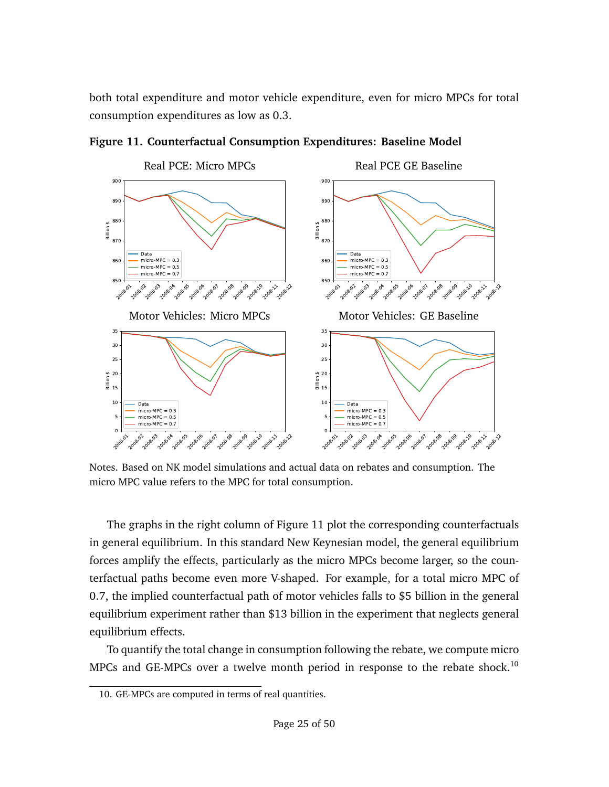both total expenditure and motor vehicle expenditure, even for micro MPCs for total consumption expenditures as low as 0.3.

![](_page_24_Figure_1.jpeg)

<span id="page-24-0"></span>**Figure 11. Counterfactual Consumption Expenditures: Baseline Model**

Notes. Based on NK model simulations and actual data on rebates and consumption. The micro MPC value refers to the MPC for total consumption.

The graphs in the right column of Figure [11](#page-24-0) plot the corresponding counterfactuals in general equilibrium. In this standard New Keynesian model, the general equilibrium forces amplify the effects, particularly as the micro MPCs become larger, so the counterfactual paths become even more V-shaped. For example, for a total micro MPC of 0.7, the implied counterfactual path of motor vehicles falls to \$5 billion in the general equilibrium experiment rather than \$13 billion in the experiment that neglects general equilibrium effects.

To quantify the total change in consumption following the rebate, we compute micro MPCs and GE-MPCs over a twelve month period in response to the rebate shock.<sup>[10](#page-24-1)</sup>

<span id="page-24-1"></span><sup>10.</sup> GE-MPCs are computed in terms of real quantities.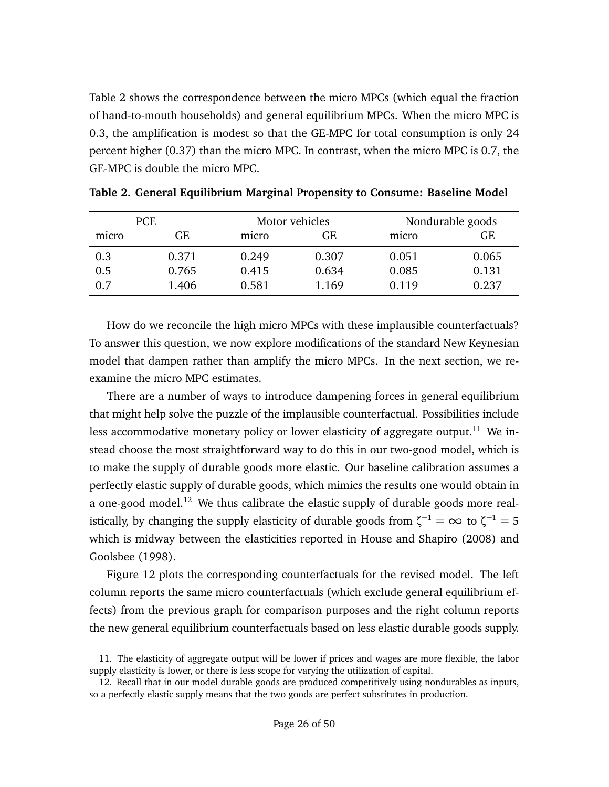Table [2](#page-25-0) shows the correspondence between the micro MPCs (which equal the fraction of hand-to-mouth households) and general equilibrium MPCs. When the micro MPC is 0.3, the amplification is modest so that the GE-MPC for total consumption is only 24 percent higher (0.37) than the micro MPC. In contrast, when the micro MPC is 0.7, the GE-MPC is double the micro MPC.

| <b>PCE</b> |       |       | Motor vehicles | Nondurable goods |       |  |
|------------|-------|-------|----------------|------------------|-------|--|
| micro      | GE    | micro | GE             | micro            | GE    |  |
| 0.3        | 0.371 | 0.249 | 0.307          | 0.051            | 0.065 |  |
| 0.5        | 0.765 | 0.415 | 0.634          | 0.085            | 0.131 |  |
| 0.7        | 1.406 | 0.581 | 1.169          | 0.119            | 0.237 |  |

<span id="page-25-0"></span>**Table 2. General Equilibrium Marginal Propensity to Consume: Baseline Model**

How do we reconcile the high micro MPCs with these implausible counterfactuals? To answer this question, we now explore modifications of the standard New Keynesian model that dampen rather than amplify the micro MPCs. In the next section, we reexamine the micro MPC estimates.

There are a number of ways to introduce dampening forces in general equilibrium that might help solve the puzzle of the implausible counterfactual. Possibilities include less accommodative monetary policy or lower elasticity of aggregate output.<sup>[11](#page-25-1)</sup> We instead choose the most straightforward way to do this in our two-good model, which is to make the supply of durable goods more elastic. Our baseline calibration assumes a perfectly elastic supply of durable goods, which mimics the results one would obtain in a one-good model.<sup>[12](#page-25-2)</sup> We thus calibrate the elastic supply of durable goods more realistically, by changing the supply elasticity of durable goods from  $\zeta^{-1} = \infty$  to  $\zeta^{-1} = 5$ which is midway between the elasticities reported in [House and Shapiro](#page-38-8) [\(2008\)](#page-38-8) and [Goolsbee](#page-38-9) [\(1998\)](#page-38-9).

Figure [12](#page-26-0) plots the corresponding counterfactuals for the revised model. The left column reports the same micro counterfactuals (which exclude general equilibrium effects) from the previous graph for comparison purposes and the right column reports the new general equilibrium counterfactuals based on less elastic durable goods supply.

<span id="page-25-1"></span><sup>11.</sup> The elasticity of aggregate output will be lower if prices and wages are more flexible, the labor supply elasticity is lower, or there is less scope for varying the utilization of capital.

<span id="page-25-2"></span><sup>12.</sup> Recall that in our model durable goods are produced competitively using nondurables as inputs, so a perfectly elastic supply means that the two goods are perfect substitutes in production.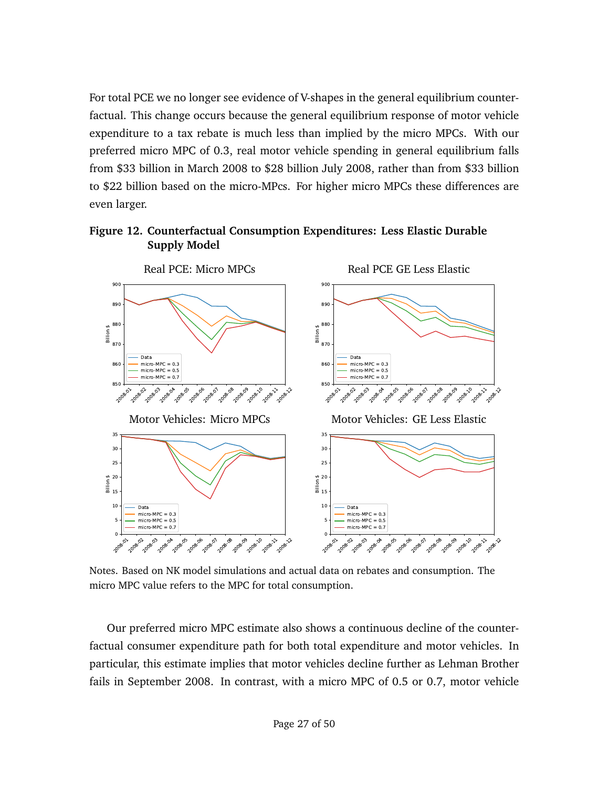For total PCE we no longer see evidence of V-shapes in the general equilibrium counterfactual. This change occurs because the general equilibrium response of motor vehicle expenditure to a tax rebate is much less than implied by the micro MPCs. With our preferred micro MPC of 0.3, real motor vehicle spending in general equilibrium falls from \$33 billion in March 2008 to \$28 billion July 2008, rather than from \$33 billion to \$22 billion based on the micro-MPcs. For higher micro MPCs these differences are even larger.

<span id="page-26-0"></span>![](_page_26_Figure_1.jpeg)

![](_page_26_Figure_2.jpeg)

Notes. Based on NK model simulations and actual data on rebates and consumption. The micro MPC value refers to the MPC for total consumption.

Our preferred micro MPC estimate also shows a continuous decline of the counterfactual consumer expenditure path for both total expenditure and motor vehicles. In particular, this estimate implies that motor vehicles decline further as Lehman Brother fails in September 2008. In contrast, with a micro MPC of 0.5 or 0.7, motor vehicle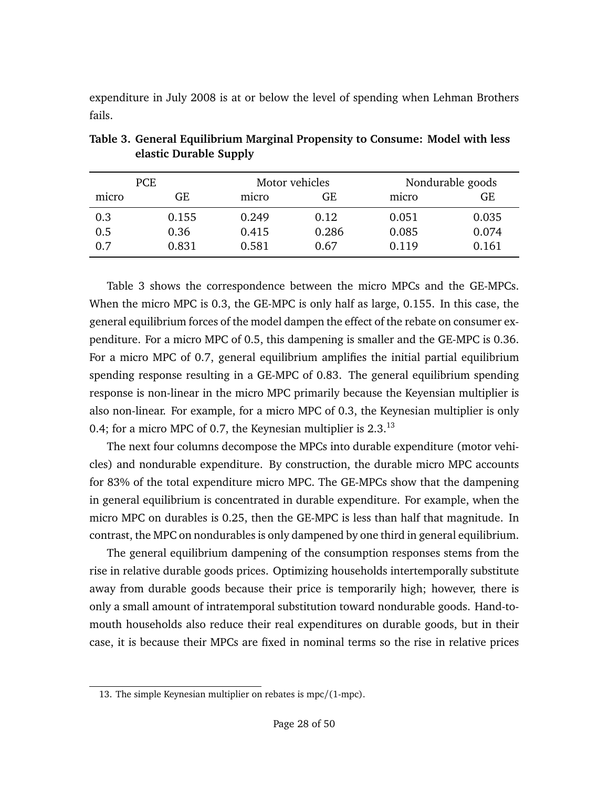expenditure in July 2008 is at or below the level of spending when Lehman Brothers fails.

| PCE   |       |       | Motor vehicles | Nondurable goods |       |  |
|-------|-------|-------|----------------|------------------|-------|--|
| micro | GE    | micro | GE             | micro            | GE    |  |
| 0.3   | 0.155 | 0.249 | 0.12           | 0.051            | 0.035 |  |
| 0.5   | 0.36  | 0.415 | 0.286          | 0.085            | 0.074 |  |
| 0.7   | 0.831 | 0.581 | 0.67           | 0.119            | 0.161 |  |

<span id="page-27-0"></span>**Table 3. General Equilibrium Marginal Propensity to Consume: Model with less elastic Durable Supply**

Table [3](#page-27-0) shows the correspondence between the micro MPCs and the GE-MPCs. When the micro MPC is 0.3, the GE-MPC is only half as large, 0.155. In this case, the general equilibrium forces of the model dampen the effect of the rebate on consumer expenditure. For a micro MPC of 0.5, this dampening is smaller and the GE-MPC is 0.36. For a micro MPC of 0.7, general equilibrium amplifies the initial partial equilibrium spending response resulting in a GE-MPC of 0.83. The general equilibrium spending response is non-linear in the micro MPC primarily because the Keyensian multiplier is also non-linear. For example, for a micro MPC of 0.3, the Keynesian multiplier is only 0.4; for a micro MPC of 0.7, the Keynesian multiplier is  $2.3^{13}$  $2.3^{13}$  $2.3^{13}$ 

The next four columns decompose the MPCs into durable expenditure (motor vehicles) and nondurable expenditure. By construction, the durable micro MPC accounts for 83% of the total expenditure micro MPC. The GE-MPCs show that the dampening in general equilibrium is concentrated in durable expenditure. For example, when the micro MPC on durables is 0.25, then the GE-MPC is less than half that magnitude. In contrast, the MPC on nondurables is only dampened by one third in general equilibrium.

The general equilibrium dampening of the consumption responses stems from the rise in relative durable goods prices. Optimizing households intertemporally substitute away from durable goods because their price is temporarily high; however, there is only a small amount of intratemporal substitution toward nondurable goods. Hand-tomouth households also reduce their real expenditures on durable goods, but in their case, it is because their MPCs are fixed in nominal terms so the rise in relative prices

<span id="page-27-1"></span><sup>13.</sup> The simple Keynesian multiplier on rebates is mpc/(1-mpc).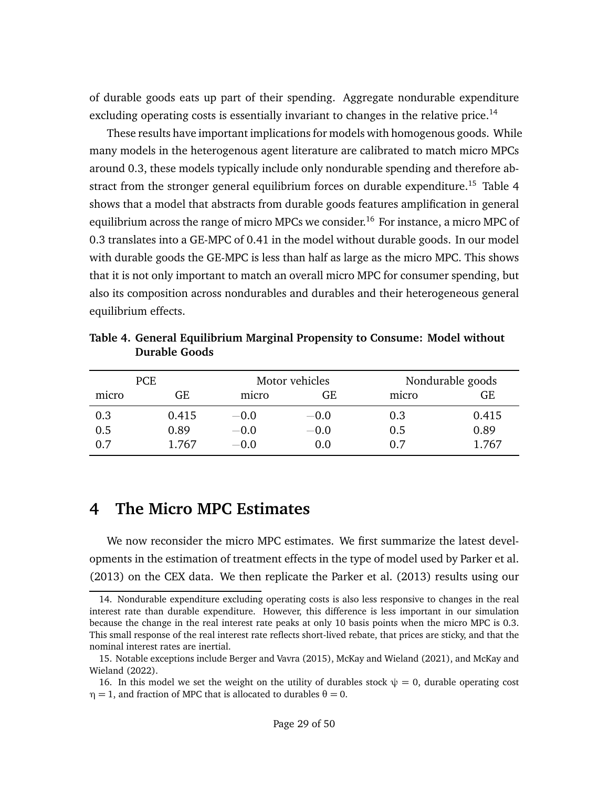of durable goods eats up part of their spending. Aggregate nondurable expenditure excluding operating costs is essentially invariant to changes in the relative price.<sup>[14](#page-28-1)</sup>

These results have important implications for models with homogenous goods. While many models in the heterogenous agent literature are calibrated to match micro MPCs around 0.3, these models typically include only nondurable spending and therefore ab-stract from the stronger general equilibrium forces on durable expenditure.<sup>[15](#page-28-2)</sup> Table [4](#page-28-3) shows that a model that abstracts from durable goods features amplification in general equilibrium across the range of micro MPCs we consider.<sup>[16](#page-28-4)</sup> For instance, a micro MPC of 0.3 translates into a GE-MPC of 0.41 in the model without durable goods. In our model with durable goods the GE-MPC is less than half as large as the micro MPC. This shows that it is not only important to match an overall micro MPC for consumer spending, but also its composition across nondurables and durables and their heterogeneous general equilibrium effects.

| <b>PCE</b> |       |        | Motor vehicles | Nondurable goods |       |  |
|------------|-------|--------|----------------|------------------|-------|--|
| micro      | GE    | micro  | GE             | micro            | GE    |  |
| 0.3        | 0.415 | $-0.0$ | $-0.0$         | 0.3              | 0.415 |  |
| 0.5        | 0.89  | $-0.0$ | $-0.0$         | 0.5              | 0.89  |  |
| 0.7        | 1.767 | $-0.0$ | 0.0            | 0.7              | 1.767 |  |

<span id="page-28-3"></span>**Table 4. General Equilibrium Marginal Propensity to Consume: Model without Durable Goods**

## <span id="page-28-0"></span>**4 The Micro MPC Estimates**

We now reconsider the micro MPC estimates. We first summarize the latest developments in the estimation of treatment effects in the type of model used by [Parker et al.](#page-39-4) [\(2013\)](#page-39-4) on the CEX data. We then replicate the [Parker et al.](#page-39-4) [\(2013\)](#page-39-4) results using our

<span id="page-28-1"></span><sup>14.</sup> Nondurable expenditure excluding operating costs is also less responsive to changes in the real interest rate than durable expenditure. However, this difference is less important in our simulation because the change in the real interest rate peaks at only 10 basis points when the micro MPC is 0.3. This small response of the real interest rate reflects short-lived rebate, that prices are sticky, and that the nominal interest rates are inertial.

<span id="page-28-2"></span><sup>15.</sup> Notable exceptions include [Berger and Vavra](#page-38-10) [\(2015\)](#page-38-10), [McKay and Wieland](#page-39-8) [\(2021\)](#page-39-8), and [McKay and](#page-39-10) [Wieland](#page-39-10) [\(2022\)](#page-39-10).

<span id="page-28-4"></span><sup>16.</sup> In this model we set the weight on the utility of durables stock  $\psi = 0$ , durable operating cost *η* = 1, and fraction of MPC that is allocated to durables  $θ = 0$ .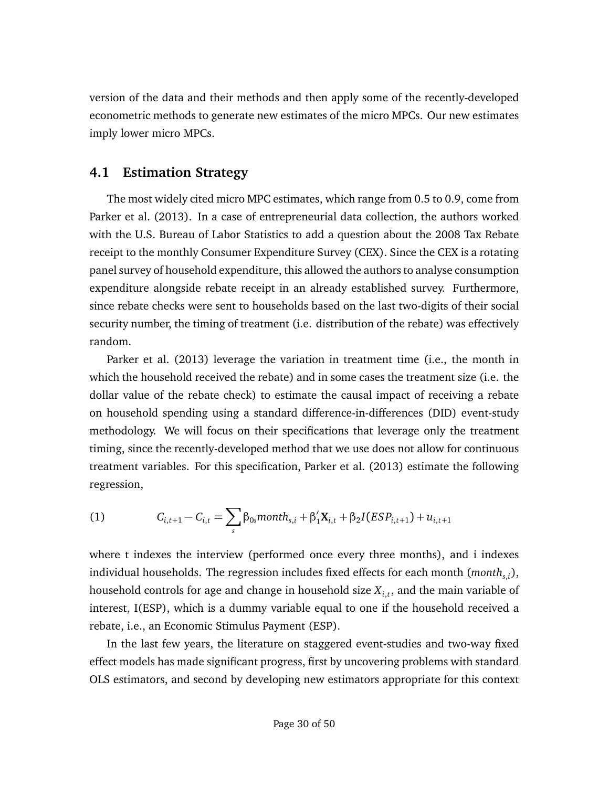version of the data and their methods and then apply some of the recently-developed econometric methods to generate new estimates of the micro MPCs. Our new estimates imply lower micro MPCs.

## **4.1 Estimation Strategy**

The most widely cited micro MPC estimates, which range from 0.5 to 0.9, come from [Parker et al.](#page-39-4) [\(2013\)](#page-39-4). In a case of entrepreneurial data collection, the authors worked with the U.S. Bureau of Labor Statistics to add a question about the 2008 Tax Rebate receipt to the monthly Consumer Expenditure Survey (CEX). Since the CEX is a rotating panel survey of household expenditure, this allowed the authors to analyse consumption expenditure alongside rebate receipt in an already established survey. Furthermore, since rebate checks were sent to households based on the last two-digits of their social security number, the timing of treatment (i.e. distribution of the rebate) was effectively random.

[Parker et al.](#page-39-4) [\(2013\)](#page-39-4) leverage the variation in treatment time (i.e., the month in which the household received the rebate) and in some cases the treatment size (i.e. the dollar value of the rebate check) to estimate the causal impact of receiving a rebate on household spending using a standard difference-in-differences (DID) event-study methodology. We will focus on their specifications that leverage only the treatment timing, since the recently-developed method that we use does not allow for continuous treatment variables. For this specification, [Parker et al.](#page-39-4) [\(2013\)](#page-39-4) estimate the following regression,

<span id="page-29-0"></span>(1) 
$$
C_{i,t+1} - C_{i,t} = \sum_{s} \beta_{0s} month_{s,i} + \beta'_1 \mathbf{X}_{i,t} + \beta_2 I (ESP_{i,t+1}) + u_{i,t+1}
$$

where t indexes the interview (performed once every three months), and i indexes individual households. The regression includes fixed effects for each month (*months*,*<sup>i</sup>* ), household controls for age and change in household size *Xi*,*<sup>t</sup>* , and the main variable of interest, I(ESP), which is a dummy variable equal to one if the household received a rebate, i.e., an Economic Stimulus Payment (ESP).

In the last few years, the literature on staggered event-studies and two-way fixed effect models has made significant progress, first by uncovering problems with standard OLS estimators, and second by developing new estimators appropriate for this context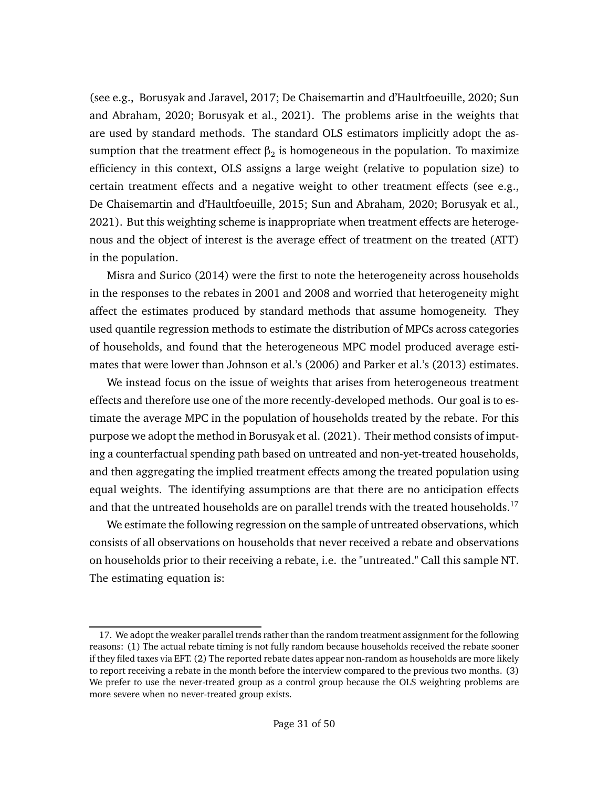(see e.g., [Borusyak and Jaravel,](#page-38-3) [2017;](#page-38-3) [De Chaisemartin and d'Haultfoeuille,](#page-38-11) [2020;](#page-38-11) [Sun](#page-40-1) [and Abraham,](#page-40-1) [2020;](#page-40-1) [Borusyak et al.,](#page-38-4) [2021\)](#page-38-4). The problems arise in the weights that are used by standard methods. The standard OLS estimators implicitly adopt the assumption that the treatment effect  $\upbeta_2$  is homogeneous in the population. To maximize efficiency in this context, OLS assigns a large weight (relative to population size) to certain treatment effects and a negative weight to other treatment effects (see e.g., [De Chaisemartin and d'Haultfoeuille,](#page-38-12) [2015;](#page-38-12) [Sun and Abraham,](#page-40-1) [2020;](#page-40-1) [Borusyak et al.,](#page-38-4) [2021\)](#page-38-4). But this weighting scheme is inappropriate when treatment effects are heterogenous and the object of interest is the average effect of treatment on the treated (ATT) in the population.

[Misra and Surico](#page-39-11) [\(2014\)](#page-39-11) were the first to note the heterogeneity across households in the responses to the rebates in 2001 and 2008 and worried that heterogeneity might affect the estimates produced by standard methods that assume homogeneity. They used quantile regression methods to estimate the distribution of MPCs across categories of households, and found that the heterogeneous MPC model produced average estimates that were lower than [Johnson et al.'](#page-39-2)s [\(2006\)](#page-39-2) and [Parker et al.'](#page-39-4)s [\(2013\)](#page-39-4) estimates.

We instead focus on the issue of weights that arises from heterogeneous treatment effects and therefore use one of the more recently-developed methods. Our goal is to estimate the average MPC in the population of households treated by the rebate. For this purpose we adopt the method in [Borusyak et al.](#page-38-4) [\(2021\)](#page-38-4). Their method consists of imputing a counterfactual spending path based on untreated and non-yet-treated households, and then aggregating the implied treatment effects among the treated population using equal weights. The identifying assumptions are that there are no anticipation effects and that the untreated households are on parallel trends with the treated households.<sup>[17](#page-30-0)</sup>

We estimate the following regression on the sample of untreated observations, which consists of all observations on households that never received a rebate and observations on households prior to their receiving a rebate, i.e. the "untreated." Call this sample NT. The estimating equation is:

<span id="page-30-0"></span><sup>17.</sup> We adopt the weaker parallel trends rather than the random treatment assignment for the following reasons: (1) The actual rebate timing is not fully random because households received the rebate sooner if they filed taxes via EFT. (2) The reported rebate dates appear non-random as households are more likely to report receiving a rebate in the month before the interview compared to the previous two months. (3) We prefer to use the never-treated group as a control group because the OLS weighting problems are more severe when no never-treated group exists.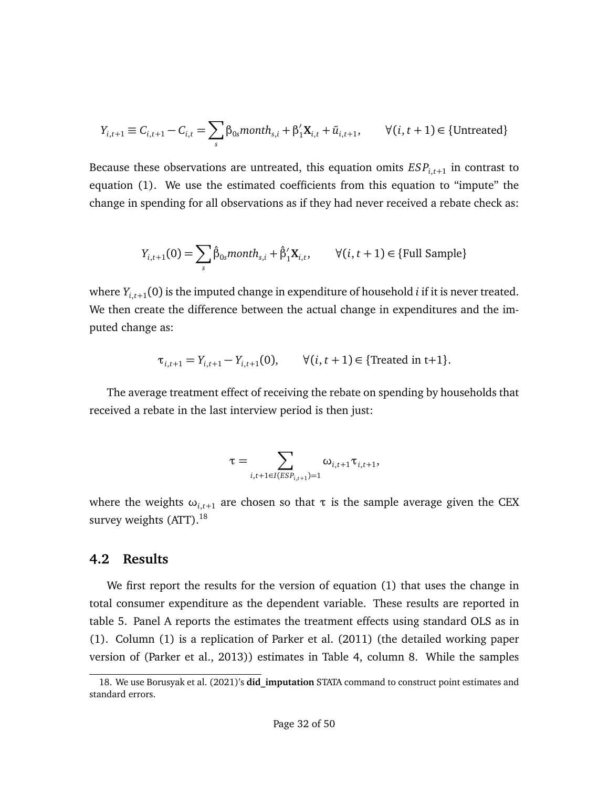$$
Y_{i,t+1} \equiv C_{i,t+1} - C_{i,t} = \sum_{s} \beta_{0s} \text{month}_{s,i} + \beta_1' \mathbf{X}_{i,t} + \tilde{u}_{i,t+1}, \qquad \forall (i, t+1) \in \{\text{Untreated}\}
$$

Because these observations are untreated, this equation omits *ESPi*,*t*+<sup>1</sup> in contrast to equation [\(1\)](#page-29-0). We use the estimated coefficients from this equation to "impute" the change in spending for all observations as if they had never received a rebate check as:

$$
Y_{i,t+1}(0) = \sum_{s} \hat{\beta}_{0s} \text{month}_{s,i} + \hat{\beta}'_1 \mathbf{X}_{i,t}, \qquad \forall (i, t+1) \in \{\text{Full Sample}\}
$$

where *Yi*,*t*+<sup>1</sup> (0) is the imputed change in expenditure of household *i* if it is never treated. We then create the difference between the actual change in expenditures and the imputed change as:

$$
\tau_{i,t+1} = Y_{i,t+1} - Y_{i,t+1}(0), \qquad \forall (i, t+1) \in \{\text{Treated in t+1}\}.
$$

The average treatment effect of receiving the rebate on spending by households that received a rebate in the last interview period is then just:

$$
\tau = \sum_{i,t+1 \in I(ESP_{i,t+1})=1} \omega_{i,t+1} \tau_{i,t+1},
$$

where the weights  $\omega_{i,t+1}$  are chosen so that  $\tau$  is the sample average given the CEX survey weights (ATT).<sup>[18](#page-31-0)</sup>

### **4.2 Results**

We first report the results for the version of equation [\(1\)](#page-29-0) that uses the change in total consumer expenditure as the dependent variable. These results are reported in table [5.](#page-32-0) Panel A reports the estimates the treatment effects using standard OLS as in [\(1\)](#page-29-0). Column (1) is a replication of [Parker et al.](#page-39-12) [\(2011\)](#page-39-12) (the detailed working paper version of [\(Parker et al.,](#page-39-4) [2013\)](#page-39-4)) estimates in Table 4, column 8. While the samples

<span id="page-31-0"></span><sup>18.</sup> We use [Borusyak et al.](#page-38-4) [\(2021\)](#page-38-4)'s **did\_imputation** STATA command to construct point estimates and standard errors.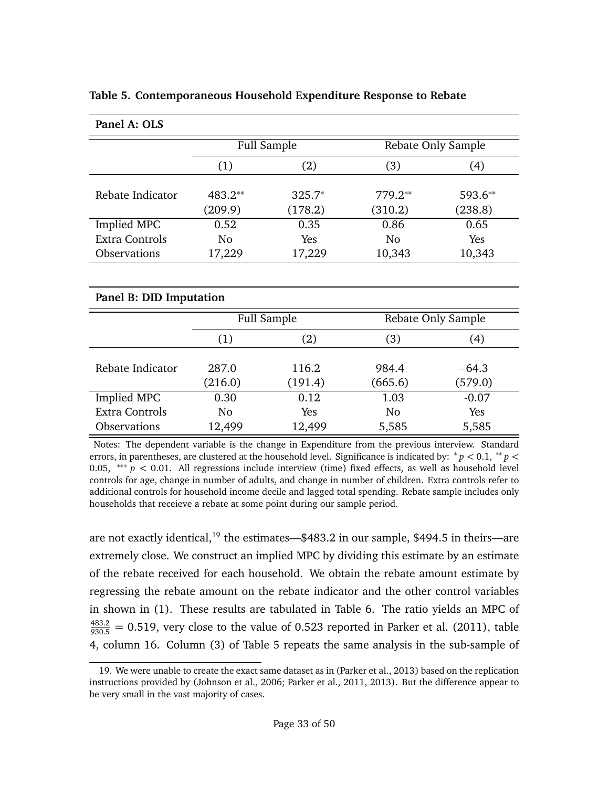| Panel A: OLS        |                    |                     |                      |                    |
|---------------------|--------------------|---------------------|----------------------|--------------------|
|                     | Full Sample        |                     |                      | Rebate Only Sample |
|                     | (1)                | (2)                 | (3)                  | (4)                |
| Rebate Indicator    | 483.2**<br>(209.9) | $325.7*$<br>(178.2) | $779.2**$<br>(310.2) | 593.6**<br>(238.8) |
| Implied MPC         | 0.52               | 0.35                | 0.86                 | 0.65               |
| Extra Controls      | No                 | Yes                 | No                   | Yes                |
| <b>Observations</b> | 17,229             | 17,229              | 10,343               | 10,343             |
|                     |                    |                     |                      |                    |

<span id="page-32-0"></span>**Table 5. Contemporaneous Household Expenditure Response to Rebate**

| Panel B: DID Imputation |         |             |                    |         |  |  |  |
|-------------------------|---------|-------------|--------------------|---------|--|--|--|
|                         |         | Full Sample | Rebate Only Sample |         |  |  |  |
|                         | (1)     | (2)         | (3)                | (4)     |  |  |  |
| Rebate Indicator        | 287.0   | 116.2       | 984.4              | $-64.3$ |  |  |  |
|                         | (216.0) | (191.4)     | (665.6)            | (579.0) |  |  |  |
| Implied MPC             | 0.30    | 0.12        | 1.03               | $-0.07$ |  |  |  |
| <b>Extra Controls</b>   | No      | Yes         | No                 | Yes     |  |  |  |
| <b>Observations</b>     | 12,499  | 12,499      | 5,585              | 5,585   |  |  |  |

Notes: The dependent variable is the change in Expenditure from the previous interview. Standard errors, in parentheses, are clustered at the household level. Significance is indicated by: <sup>∗</sup> *p <* 0.1, ∗∗ *p <* 0.05, ∗∗∗ *p <* 0.01. All regressions include interview (time) fixed effects, as well as household level controls for age, change in number of adults, and change in number of children. Extra controls refer to additional controls for household income decile and lagged total spending. Rebate sample includes only households that receieve a rebate at some point during our sample period.

are not exactly identical,<sup>[19](#page-32-1)</sup> the estimates—\$483.2 in our sample, \$494.5 in theirs—are extremely close. We construct an implied MPC by dividing this estimate by an estimate of the rebate received for each household. We obtain the rebate amount estimate by regressing the rebate amount on the rebate indicator and the other control variables in shown in [\(1\)](#page-29-0). These results are tabulated in Table [6.](#page-33-0) The ratio yields an MPC of  $\frac{483.2}{930.5}$  = 0.519, very close to the value of 0.523 reported in [Parker et al.](#page-39-12) [\(2011\)](#page-39-12), table 4, column 16. Column (3) of Table [5](#page-32-0) repeats the same analysis in the sub-sample of

<span id="page-32-1"></span><sup>19.</sup> We were unable to create the exact same dataset as in [\(Parker et al.,](#page-39-4) [2013\)](#page-39-4) based on the replication instructions provided by [\(Johnson et al.,](#page-39-2) [2006;](#page-39-2) [Parker et al.,](#page-39-12) [2011,](#page-39-12) [2013\)](#page-39-4). But the difference appear to be very small in the vast majority of cases.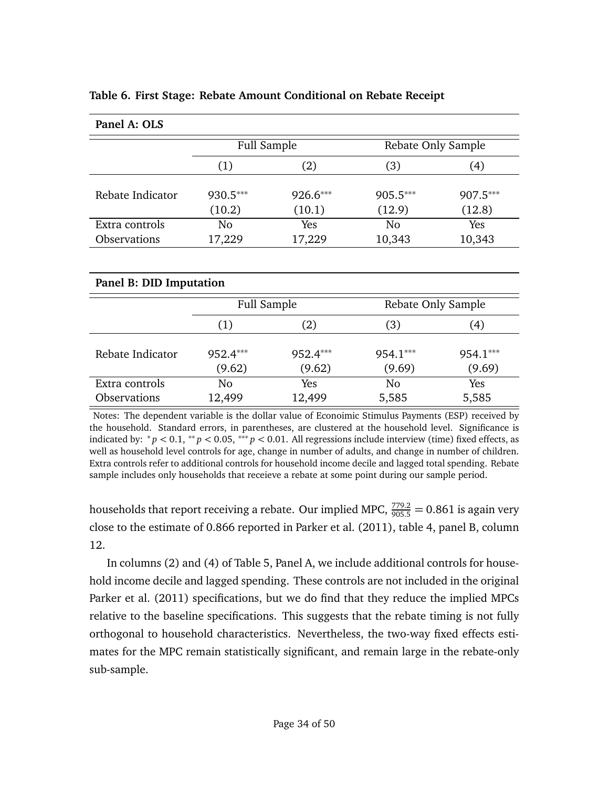| Panel A: OLS     |                    |                    |                    |                    |  |  |  |  |
|------------------|--------------------|--------------------|--------------------|--------------------|--|--|--|--|
|                  | Full Sample        |                    | Rebate Only Sample |                    |  |  |  |  |
|                  | (1)                | (2)                | (3)                | (4)                |  |  |  |  |
| Rebate Indicator | 930.5***<br>(10.2) | 926.6***<br>(10.1) | 905.5***<br>(12.9) | 907.5***<br>(12.8) |  |  |  |  |
| Extra controls   | No                 | Yes                | No                 | Yes                |  |  |  |  |
| Observations     | 17,229             | 17,229             | 10,343             | 10,343             |  |  |  |  |

#### <span id="page-33-0"></span>**Table 6. First Stage: Rebate Amount Conditional on Rebate Receipt**

| Panel B: DID Imputation |                                       |                    |                    |                    |  |  |  |
|-------------------------|---------------------------------------|--------------------|--------------------|--------------------|--|--|--|
|                         | Full Sample                           |                    | Rebate Only Sample |                    |  |  |  |
|                         | (2)<br>(3)<br>(1)<br>$\left(4\right)$ |                    |                    |                    |  |  |  |
| Rebate Indicator        | 952.4***<br>(9.62)                    | 952.4***<br>(9.62) | 954.1***<br>(9.69) | 954.1***<br>(9.69) |  |  |  |
| Extra controls          | No                                    | Yes                | N <sub>0</sub>     | Yes                |  |  |  |
| Observations            | 12,499                                | 12,499             | 5,585              | 5,585              |  |  |  |

Notes: The dependent variable is the dollar value of Econoimic Stimulus Payments (ESP) received by the household. Standard errors, in parentheses, are clustered at the household level. Significance is indicated by: <sup>∗</sup> *p <* 0.1, ∗∗ *p <* 0.05, ∗∗∗ *p <* 0.01. All regressions include interview (time) fixed effects, as well as household level controls for age, change in number of adults, and change in number of children. Extra controls refer to additional controls for household income decile and lagged total spending. Rebate sample includes only households that receieve a rebate at some point during our sample period.

households that report receiving a rebate. Our implied MPC,  $\frac{779.2}{905.5} = 0.861$  is again very close to the estimate of 0.866 reported in [Parker et al.](#page-39-12) [\(2011\)](#page-39-12), table 4, panel B, column 12.

In columns (2) and (4) of Table [5,](#page-32-0) Panel A, we include additional controls for household income decile and lagged spending. These controls are not included in the original [Parker et al.](#page-39-12) [\(2011\)](#page-39-12) specifications, but we do find that they reduce the implied MPCs relative to the baseline specifications. This suggests that the rebate timing is not fully orthogonal to household characteristics. Nevertheless, the two-way fixed effects estimates for the MPC remain statistically significant, and remain large in the rebate-only sub-sample.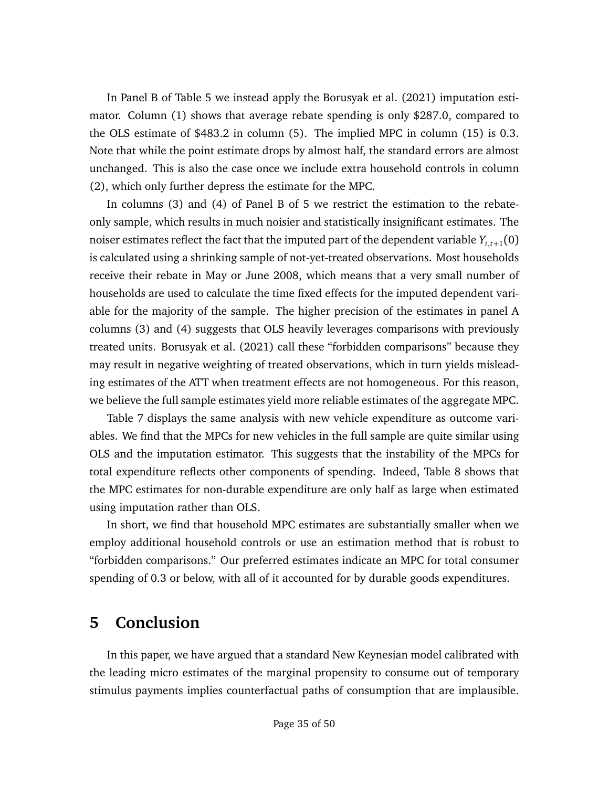In Panel B of Table [5](#page-32-0) we instead apply the [Borusyak et al.](#page-38-4) [\(2021\)](#page-38-4) imputation estimator. Column (1) shows that average rebate spending is only \$287.0, compared to the OLS estimate of \$483.2 in column (5). The implied MPC in column (15) is 0.3. Note that while the point estimate drops by almost half, the standard errors are almost unchanged. This is also the case once we include extra household controls in column (2), which only further depress the estimate for the MPC.

In columns (3) and (4) of Panel B of [5](#page-32-0) we restrict the estimation to the rebateonly sample, which results in much noisier and statistically insignificant estimates. The noiser estimates reflect the fact that the imputed part of the dependent variable  $Y_{i,t+1}(0)$ is calculated using a shrinking sample of not-yet-treated observations. Most households receive their rebate in May or June 2008, which means that a very small number of households are used to calculate the time fixed effects for the imputed dependent variable for the majority of the sample. The higher precision of the estimates in panel A columns (3) and (4) suggests that OLS heavily leverages comparisons with previously treated units. [Borusyak et al.](#page-38-4) [\(2021\)](#page-38-4) call these "forbidden comparisons" because they may result in negative weighting of treated observations, which in turn yields misleading estimates of the ATT when treatment effects are not homogeneous. For this reason, we believe the full sample estimates yield more reliable estimates of the aggregate MPC.

Table [7](#page-35-0) displays the same analysis with new vehicle expenditure as outcome variables. We find that the MPCs for new vehicles in the full sample are quite similar using OLS and the imputation estimator. This suggests that the instability of the MPCs for total expenditure reflects other components of spending. Indeed, Table [8](#page-36-0) shows that the MPC estimates for non-durable expenditure are only half as large when estimated using imputation rather than OLS.

In short, we find that household MPC estimates are substantially smaller when we employ additional household controls or use an estimation method that is robust to "forbidden comparisons." Our preferred estimates indicate an MPC for total consumer spending of 0.3 or below, with all of it accounted for by durable goods expenditures.

# <span id="page-34-0"></span>**5 Conclusion**

In this paper, we have argued that a standard New Keynesian model calibrated with the leading micro estimates of the marginal propensity to consume out of temporary stimulus payments implies counterfactual paths of consumption that are implausible.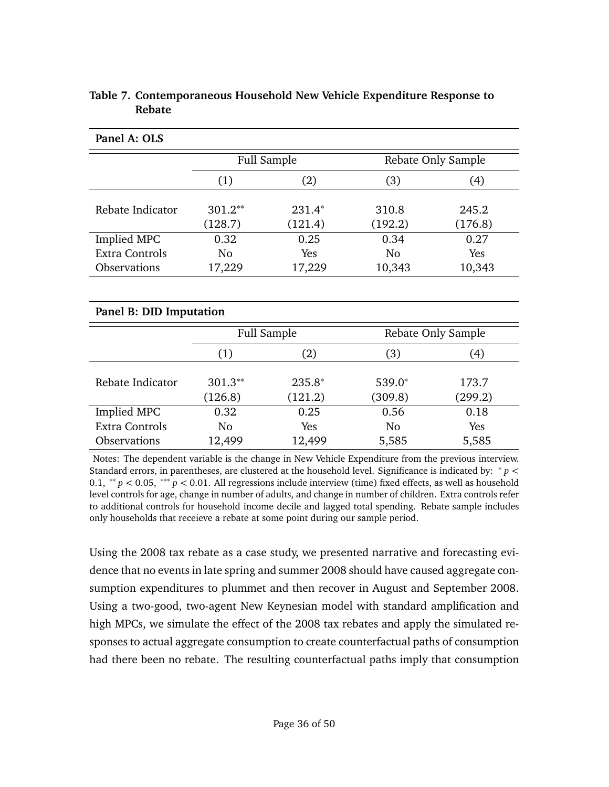|                         |                | <b>Full Sample</b> |                    | Rebate Only Sample |  |  |  |
|-------------------------|----------------|--------------------|--------------------|--------------------|--|--|--|
|                         | (1)            | (2)                | (3)                | (4)                |  |  |  |
|                         |                |                    |                    |                    |  |  |  |
| Rebate Indicator        | 301.2**        | $231.4*$           | 310.8              | 245.2              |  |  |  |
|                         | (128.7)        | (121.4)            | (192.2)            | (176.8)            |  |  |  |
| Implied MPC             | 0.32           | 0.25               | 0.34               | 0.27               |  |  |  |
| <b>Extra Controls</b>   | N <sub>0</sub> | Yes                | N <sub>0</sub>     | Yes                |  |  |  |
| Observations            | 17,229         | 17,229             | 10,343             | 10,343             |  |  |  |
|                         |                |                    |                    |                    |  |  |  |
| Panel B: DID Imputation |                |                    |                    |                    |  |  |  |
|                         |                | <b>Full Sample</b> | Rebate Only Sample |                    |  |  |  |
|                         | (1)            | (2)                | (3)                | (4)                |  |  |  |
|                         |                |                    |                    |                    |  |  |  |
| Rebate Indicator        | 301.3**        | $235.8*$           | 539.0*             | 173.7              |  |  |  |
|                         | (126.8)        | (121.2)            | (309.8)            | (299.2)            |  |  |  |
| Implied MPC             | 0.32           | 0.25               | 0.56               | 0.18               |  |  |  |
| Extra Controls          | N <sub>o</sub> | Yes                | N <sub>o</sub>     | Yes                |  |  |  |
| Observations            | 12,499         | 12,499             | 5,585              | 5,585              |  |  |  |

### <span id="page-35-0"></span>**Table 7. Contemporaneous Household New Vehicle Expenditure Response to Rebate**

**Panel A: OLS**

Notes: The dependent variable is the change in New Vehicle Expenditure from the previous interview. Standard errors, in parentheses, are clustered at the household level. Significance is indicated by: <sup>∗</sup> *p <* 0.1, ∗∗ *p <* 0.05, ∗∗∗ *p <* 0.01. All regressions include interview (time) fixed effects, as well as household level controls for age, change in number of adults, and change in number of children. Extra controls refer to additional controls for household income decile and lagged total spending. Rebate sample includes only households that receieve a rebate at some point during our sample period.

Using the 2008 tax rebate as a case study, we presented narrative and forecasting evidence that no events in late spring and summer 2008 should have caused aggregate consumption expenditures to plummet and then recover in August and September 2008. Using a two-good, two-agent New Keynesian model with standard amplification and high MPCs, we simulate the effect of the 2008 tax rebates and apply the simulated responses to actual aggregate consumption to create counterfactual paths of consumption had there been no rebate. The resulting counterfactual paths imply that consumption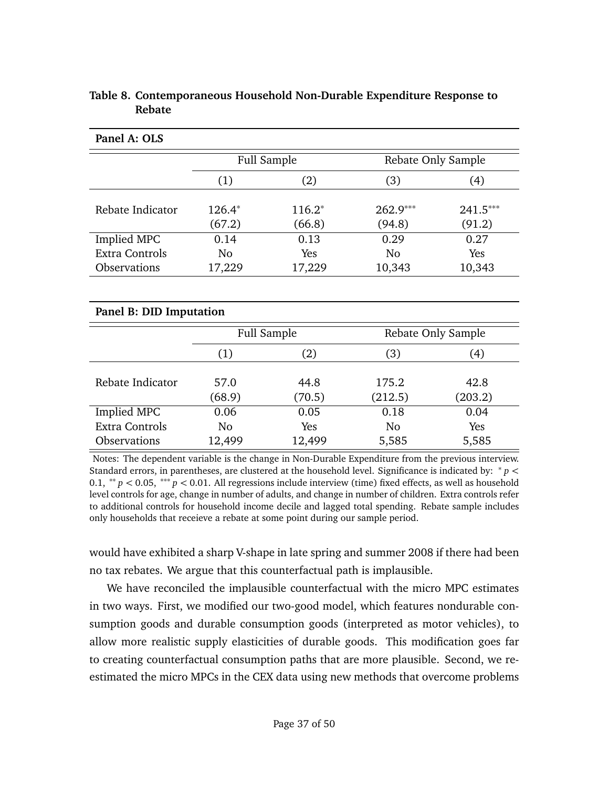|                         |                | <b>Full Sample</b> |                    | Rebate Only Sample |  |  |  |  |
|-------------------------|----------------|--------------------|--------------------|--------------------|--|--|--|--|
|                         | (1)            | (2)                | (3)                | (4)                |  |  |  |  |
|                         |                |                    |                    |                    |  |  |  |  |
| Rebate Indicator        | 126.4*         | $116.2*$           | 262.9***           | 241.5***           |  |  |  |  |
|                         | (67.2)         | (66.8)             | (94.8)             | (91.2)             |  |  |  |  |
| Implied MPC             | 0.14           | 0.13               | 0.29               | 0.27               |  |  |  |  |
| <b>Extra Controls</b>   | N <sub>0</sub> | Yes                | No                 | Yes                |  |  |  |  |
| Observations            | 17,229         | 17,229             | 10,343             | 10,343             |  |  |  |  |
|                         |                |                    |                    |                    |  |  |  |  |
| Panel B: DID Imputation |                |                    |                    |                    |  |  |  |  |
|                         |                | <b>Full Sample</b> | Rebate Only Sample |                    |  |  |  |  |
|                         | (1)            | (2)                | (3)                | (4)                |  |  |  |  |
|                         |                |                    |                    |                    |  |  |  |  |
| Rebate Indicator        | 57.0           | 44.8               | 175.2              | 42.8               |  |  |  |  |
|                         | (68.9)         | (70.5)             | (212.5)            | (203.2)            |  |  |  |  |
| <b>Implied MPC</b>      | 0.06           | 0.05               | 0.18               | 0.04               |  |  |  |  |
| Extra Controls          | N <sub>0</sub> | Yes                | No                 | Yes                |  |  |  |  |
| <b>Observations</b>     | 12,499         | 12,499             | 5,585              | 5,585              |  |  |  |  |

### <span id="page-36-0"></span>**Table 8. Contemporaneous Household Non-Durable Expenditure Response to Rebate**

**Panel A: OLS**

Notes: The dependent variable is the change in Non-Durable Expenditure from the previous interview. Standard errors, in parentheses, are clustered at the household level. Significance is indicated by: <sup>∗</sup> *p <* 0.1, ∗∗ *p <* 0.05, ∗∗∗ *p <* 0.01. All regressions include interview (time) fixed effects, as well as household level controls for age, change in number of adults, and change in number of children. Extra controls refer to additional controls for household income decile and lagged total spending. Rebate sample includes only households that receieve a rebate at some point during our sample period.

would have exhibited a sharp V-shape in late spring and summer 2008 if there had been no tax rebates. We argue that this counterfactual path is implausible.

We have reconciled the implausible counterfactual with the micro MPC estimates in two ways. First, we modified our two-good model, which features nondurable consumption goods and durable consumption goods (interpreted as motor vehicles), to allow more realistic supply elasticities of durable goods. This modification goes far to creating counterfactual consumption paths that are more plausible. Second, we reestimated the micro MPCs in the CEX data using new methods that overcome problems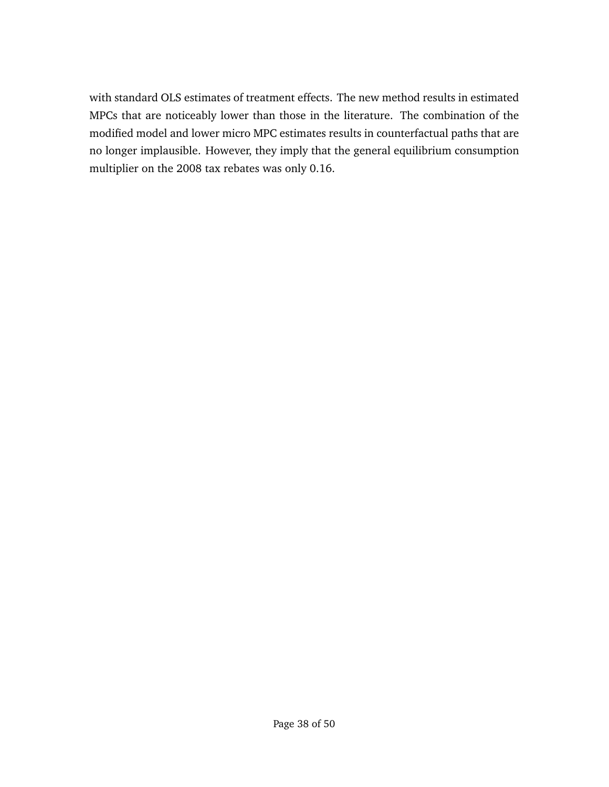with standard OLS estimates of treatment effects. The new method results in estimated MPCs that are noticeably lower than those in the literature. The combination of the modified model and lower micro MPC estimates results in counterfactual paths that are no longer implausible. However, they imply that the general equilibrium consumption multiplier on the 2008 tax rebates was only 0.16.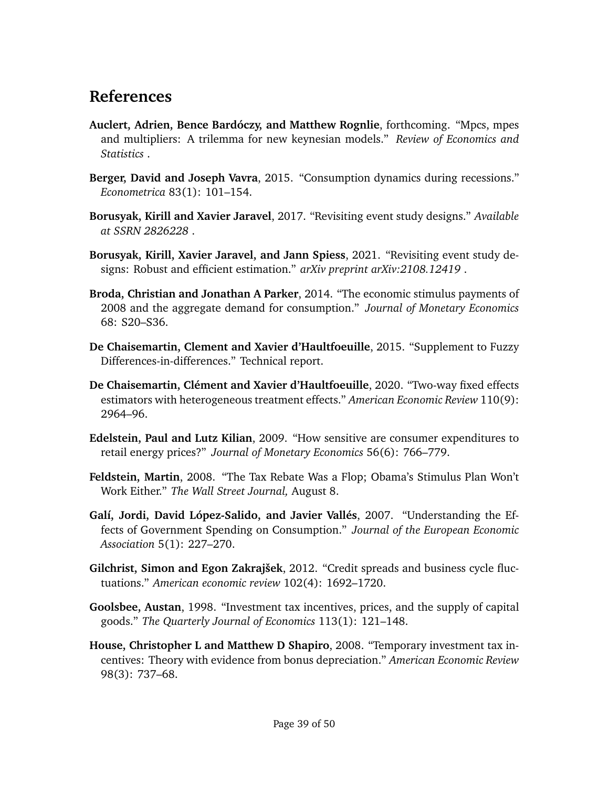# **References**

- <span id="page-38-1"></span>**Auclert, Adrien, Bence Bardóczy, and Matthew Rognlie**, forthcoming. "Mpcs, mpes and multipliers: A trilemma for new keynesian models." *Review of Economics and Statistics* .
- <span id="page-38-10"></span>**Berger, David and Joseph Vavra**, 2015. "Consumption dynamics during recessions." *Econometrica* 83(1): 101–154.
- <span id="page-38-3"></span>**Borusyak, Kirill and Xavier Jaravel**, 2017. "Revisiting event study designs." *Available at SSRN 2826228* .
- <span id="page-38-4"></span>**Borusyak, Kirill, Xavier Jaravel, and Jann Spiess**, 2021. "Revisiting event study designs: Robust and efficient estimation." *arXiv preprint arXiv:2108.12419* .
- <span id="page-38-0"></span>**Broda, Christian and Jonathan A Parker**, 2014. "The economic stimulus payments of 2008 and the aggregate demand for consumption." *Journal of Monetary Economics* 68: S20–S36.
- <span id="page-38-12"></span>**De Chaisemartin, Clement and Xavier d'Haultfoeuille**, 2015. "Supplement to Fuzzy Differences-in-differences." Technical report.
- <span id="page-38-11"></span>**De Chaisemartin, Clément and Xavier d'Haultfoeuille**, 2020. "Two-way fixed effects estimators with heterogeneous treatment effects." *American Economic Review* 110(9): 2964–96.
- <span id="page-38-6"></span>**Edelstein, Paul and Lutz Kilian**, 2009. "How sensitive are consumer expenditures to retail energy prices?" *Journal of Monetary Economics* 56(6): 766–779.
- <span id="page-38-2"></span>**Feldstein, Martin**, 2008. "The Tax Rebate Was a Flop; Obama's Stimulus Plan Won't Work Either." *The Wall Street Journal,* August 8.
- <span id="page-38-7"></span>**Galí, Jordi, David López-Salido, and Javier Vallés**, 2007. "Understanding the Effects of Government Spending on Consumption." *Journal of the European Economic Association* 5(1): 227–270.
- <span id="page-38-5"></span>**Gilchrist, Simon and Egon Zakrajšek**, 2012. "Credit spreads and business cycle fluctuations." *American economic review* 102(4): 1692–1720.
- <span id="page-38-9"></span>**Goolsbee, Austan**, 1998. "Investment tax incentives, prices, and the supply of capital goods." *The Quarterly Journal of Economics* 113(1): 121–148.
- <span id="page-38-8"></span>**House, Christopher L and Matthew D Shapiro**, 2008. "Temporary investment tax incentives: Theory with evidence from bonus depreciation." *American Economic Review* 98(3): 737–68.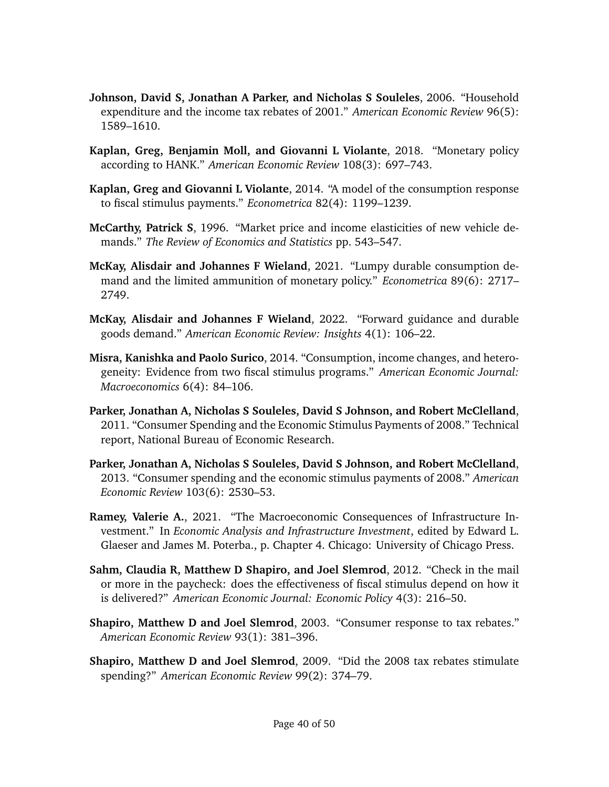- <span id="page-39-2"></span>**Johnson, David S, Jonathan A Parker, and Nicholas S Souleles**, 2006. "Household expenditure and the income tax rebates of 2001." *American Economic Review* 96(5): 1589–1610.
- <span id="page-39-6"></span>**Kaplan, Greg, Benjamin Moll, and Giovanni L Violante**, 2018. "Monetary policy according to HANK." *American Economic Review* 108(3): 697–743.
- <span id="page-39-5"></span>**Kaplan, Greg and Giovanni L Violante**, 2014. "A model of the consumption response to fiscal stimulus payments." *Econometrica* 82(4): 1199–1239.
- <span id="page-39-9"></span>**McCarthy, Patrick S**, 1996. "Market price and income elasticities of new vehicle demands." *The Review of Economics and Statistics* pp. 543–547.
- <span id="page-39-8"></span>**McKay, Alisdair and Johannes F Wieland**, 2021. "Lumpy durable consumption demand and the limited ammunition of monetary policy." *Econometrica* 89(6): 2717– 2749.
- <span id="page-39-10"></span>**McKay, Alisdair and Johannes F Wieland**, 2022. "Forward guidance and durable goods demand." *American Economic Review: Insights* 4(1): 106–22.
- <span id="page-39-11"></span>**Misra, Kanishka and Paolo Surico**, 2014. "Consumption, income changes, and heterogeneity: Evidence from two fiscal stimulus programs." *American Economic Journal: Macroeconomics* 6(4): 84–106.
- <span id="page-39-12"></span>**Parker, Jonathan A, Nicholas S Souleles, David S Johnson, and Robert McClelland**, 2011. "Consumer Spending and the Economic Stimulus Payments of 2008." Technical report, National Bureau of Economic Research.
- <span id="page-39-4"></span>**Parker, Jonathan A, Nicholas S Souleles, David S Johnson, and Robert McClelland**, 2013. "Consumer spending and the economic stimulus payments of 2008." *American Economic Review* 103(6): 2530–53.
- <span id="page-39-7"></span>**Ramey, Valerie A.**, 2021. "The Macroeconomic Consequences of Infrastructure Investment." In *Economic Analysis and Infrastructure Investment*, edited by Edward L. Glaeser and James M. Poterba., p. Chapter 4. Chicago: University of Chicago Press.
- <span id="page-39-3"></span>**Sahm, Claudia R, Matthew D Shapiro, and Joel Slemrod**, 2012. "Check in the mail or more in the paycheck: does the effectiveness of fiscal stimulus depend on how it is delivered?" *American Economic Journal: Economic Policy* 4(3): 216–50.
- <span id="page-39-0"></span>**Shapiro, Matthew D and Joel Slemrod**, 2003. "Consumer response to tax rebates." *American Economic Review* 93(1): 381–396.
- <span id="page-39-1"></span>**Shapiro, Matthew D and Joel Slemrod**, 2009. "Did the 2008 tax rebates stimulate spending?" *American Economic Review* 99(2): 374–79.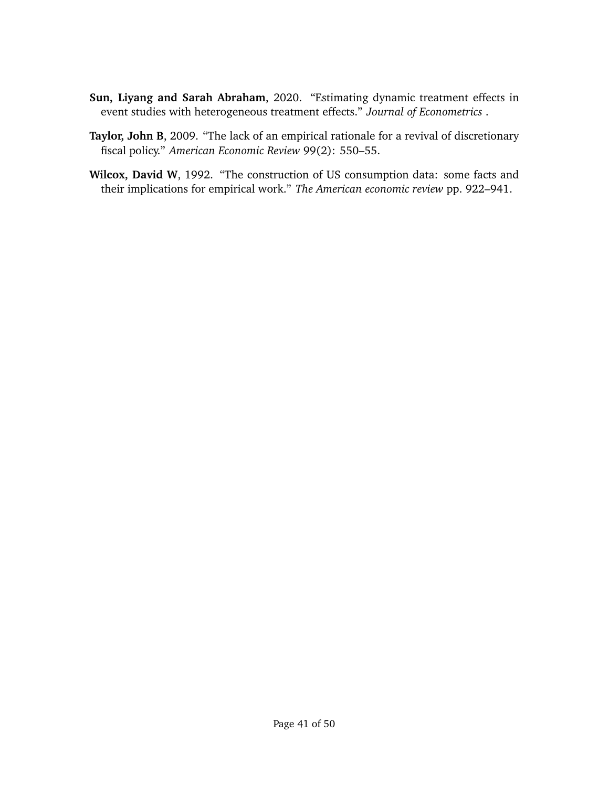- <span id="page-40-1"></span>**Sun, Liyang and Sarah Abraham**, 2020. "Estimating dynamic treatment effects in event studies with heterogeneous treatment effects." *Journal of Econometrics* .
- <span id="page-40-0"></span>**Taylor, John B**, 2009. "The lack of an empirical rationale for a revival of discretionary fiscal policy." *American Economic Review* 99(2): 550–55.
- <span id="page-40-2"></span>**Wilcox, David W**, 1992. "The construction of US consumption data: some facts and their implications for empirical work." *The American economic review* pp. 922–941.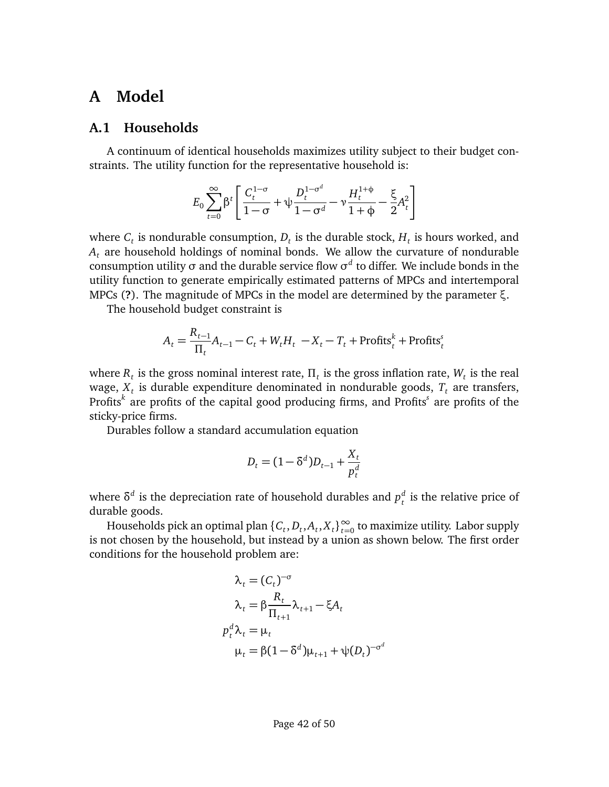## **A Model**

## **A.1 Households**

A continuum of identical households maximizes utility subject to their budget constraints. The utility function for the representative household is:

$$
E_0 \sum_{t=0}^{\infty} \beta^t \left[ \frac{C_t^{1-\sigma}}{1-\sigma} + \psi \frac{D_t^{1-\sigma^d}}{1-\sigma^d} - \nu \frac{H_t^{1+\phi}}{1+\phi} - \frac{\xi}{2} A_t^2 \right]
$$

where  $C_t$  is nondurable consumption,  $D_t$  is the durable stock,  $H_t$  is hours worked, and *A<sup>t</sup>* are household holdings of nominal bonds. We allow the curvature of nondurable consumption utility *σ* and the durable service flow *σ d* to differ. We include bonds in the utility function to generate empirically estimated patterns of MPCs and intertemporal MPCs (**?**). The magnitude of MPCs in the model are determined by the parameter *ξ*.

The household budget constraint is

$$
A_t = \frac{R_{t-1}}{\Pi_t} A_{t-1} - C_t + W_t H_t - X_t - T_t + \text{Profits}_t^k + \text{Profits}_t^s
$$

where  $R_t$  is the gross nominal interest rate,  $\Pi_t$  is the gross inflation rate,  $W_t$  is the real wage, *X<sup>t</sup>* is durable expenditure denominated in nondurable goods, *T<sup>t</sup>* are transfers, Profits*<sup>k</sup>* are profits of the capital good producing firms, and Profits*<sup>s</sup>* are profits of the sticky-price firms.

Durables follow a standard accumulation equation

$$
D_t = (1 - \delta^d)D_{t-1} + \frac{X_t}{p_t^d}
$$

where  $\delta^d$  is the depreciation rate of household durables and  $p_t^d$ *t* is the relative price of durable goods.

Households pick an optimal plan  $\{C_t, D_t, A_t, X_t\}_{t=0}^{\infty}$  to maximize utility. Labor supply is not chosen by the household, but instead by a union as shown below. The first order conditions for the household problem are:

$$
\lambda_t = (C_t)^{-\sigma}
$$
  
\n
$$
\lambda_t = \beta \frac{R_t}{\Pi_{t+1}} \lambda_{t+1} - \xi A_t
$$
  
\n
$$
p_t^d \lambda_t = \mu_t
$$
  
\n
$$
\mu_t = \beta (1 - \delta^d) \mu_{t+1} + \psi(D_t)^{-\sigma^d}
$$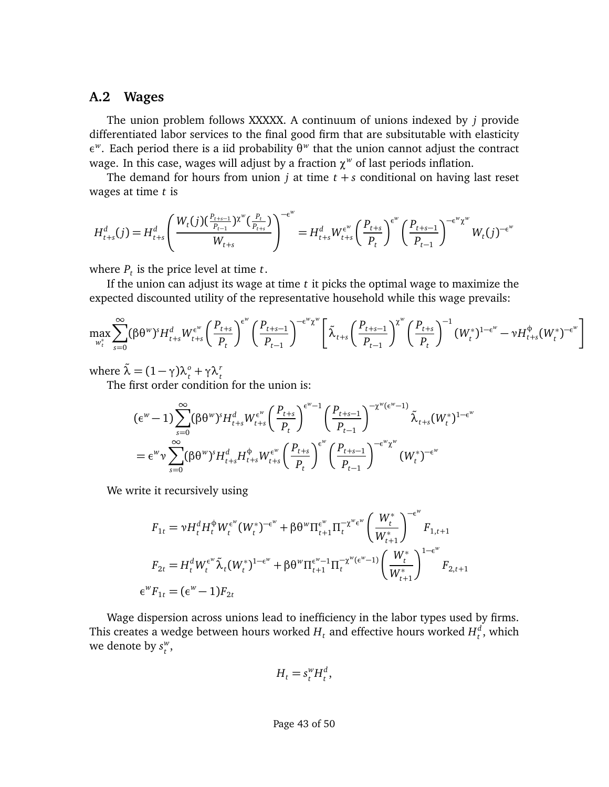### **A.2 Wages**

The union problem follows XXXXX. A continuum of unions indexed by *j* provide differentiated labor services to the final good firm that are subsitutable with elasticity *ε w* . Each period there is a iid probability *θ w* that the union cannot adjust the contract wage. In this case, wages will adjust by a fraction *χ <sup>w</sup>* of last periods inflation.

The demand for hours from union  $j$  at time  $t + s$  conditional on having last reset wages at time *t* is

$$
H_{t+s}^d(j) = H_{t+s}^d \left( \frac{W_t(j) \left( \frac{P_{t+s-1}}{P_{t-1}} \right) \chi^w(\frac{P_t}{P_{t+s}})}{W_{t+s}} \right)^{-\epsilon^w} = H_{t+s}^d W_{t+s}^{\epsilon^w} \left( \frac{P_{t+s}}{P_t} \right)^{\epsilon^w} \left( \frac{P_{t+s-1}}{P_{t-1}} \right)^{-\epsilon^w \chi^w} W_t(j)^{-\epsilon^w}
$$

where  $P_t$  is the price level at time  $t$ .

If the union can adjust its wage at time *t* it picks the optimal wage to maximize the expected discounted utility of the representative household while this wage prevails:

$$
\max_{w_t^*} \sum_{s=0}^{\infty} (\beta \theta^w)^s H_{t+s}^d W_{t+s}^{\epsilon^w} \left( \frac{P_{t+s}}{P_t} \right)^{\epsilon^w} \left( \frac{P_{t+s-1}}{P_{t-1}} \right)^{-\epsilon^w \chi^w} \left[ \tilde{\lambda}_{t+s} \left( \frac{P_{t+s-1}}{P_{t-1}} \right)^{\chi^w} \left( \frac{P_{t+s}}{P_t} \right)^{-1} (W_t^*)^{1-\epsilon^w} - \nu H_{t+s}^{\phi} (W_t^*)^{-\epsilon^w} \right]
$$

where  $\tilde{\lambda} = (1 - \gamma)\lambda_t^o + \gamma\lambda_t^r$ <br>The first order condition for the union is:

$$
\begin{split} &\big(\epsilon^w - 1\big) \sum_{s=0}^{\infty} (\beta \theta^w)^s H_{t+s}^d W_{t+s}^{\epsilon^w} \bigg(\frac{P_{t+s}}{P_t}\bigg)^{\epsilon^w - 1} \bigg(\frac{P_{t+s-1}}{P_{t-1}}\bigg)^{-\chi^w(\epsilon^w - 1)} \tilde{\lambda}_{t+s} (W_t^*)^{1 - \epsilon^w} \\ &= \epsilon^w v \sum_{s=0}^{\infty} (\beta \theta^w)^s H_{t+s}^d H_{t+s}^{\varphi} W_{t+s}^{\epsilon^w} \bigg(\frac{P_{t+s}}{P_t}\bigg)^{\epsilon^w} \bigg(\frac{P_{t+s-1}}{P_{t-1}}\bigg)^{-\epsilon^w \chi^w} (W_t^*)^{-\epsilon^w} \end{split}
$$

We write it recursively using

$$
F_{1t} = \nu H_t^d H_t^{\phi} W_t^{\epsilon^w} (W_t^*)^{-\epsilon^w} + \beta \theta^w \Pi_{t+1}^{\epsilon^w} \Pi_t^{-\chi^w \epsilon^w} \left( \frac{W_t^*}{W_{t+1}^*} \right)^{-\epsilon^w} F_{1,t+1}
$$
  
\n
$$
F_{2t} = H_t^d W_t^{\epsilon^w} \tilde{\lambda}_t (W_t^*)^{1-\epsilon^w} + \beta \theta^w \Pi_{t+1}^{\epsilon^w-1} \Pi_t^{-\chi^w(\epsilon^w-1)} \left( \frac{W_t^*}{W_{t+1}^*} \right)^{1-\epsilon^w} F_{2,t+1}
$$
  
\n
$$
\epsilon^w F_{1t} = (\epsilon^w - 1) F_{2t}
$$

Wage dispersion across unions lead to inefficiency in the labor types used by firms. This creates a wedge between hours worked  $H_t$  and effective hours worked  $H_t^d$  $_t^a$ , which we denote by *s w t* ,

$$
H_t = s_t^w H_t^d,
$$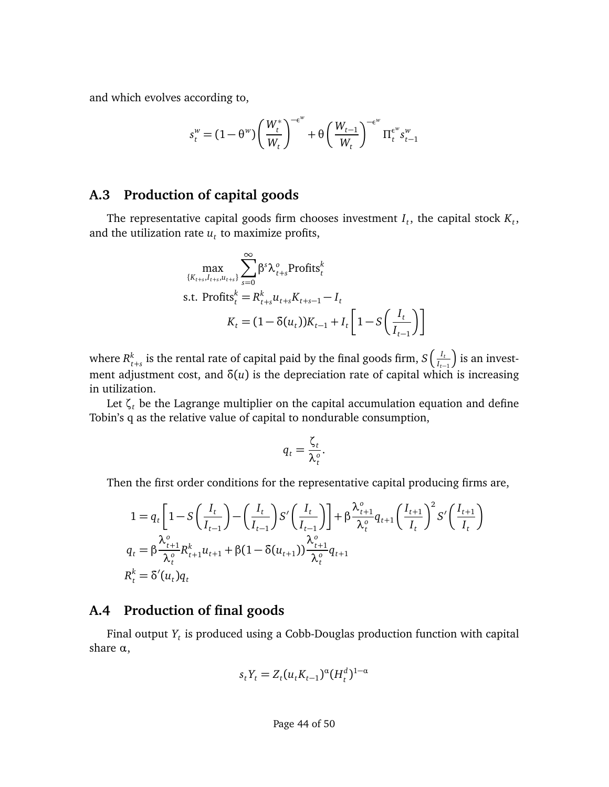and which evolves according to,

$$
s_t^w = (1 - \theta^w) \left( \frac{W_t^*}{W_t} \right)^{-\epsilon^w} + \theta \left( \frac{W_{t-1}}{W_t} \right)^{-\epsilon^w} \Pi_t^{\epsilon^w} s_{t-1}^w
$$

## **A.3 Production of capital goods**

The representative capital goods firm chooses investment  $I_t$ , the capital stock  $K_t$ , and the utilization rate  $u_t$  to maximize profits,

$$
\max_{\{K_{t+s}, I_{t+s}, u_{t+s}\}} \sum_{s=0}^{\infty} \beta^s \lambda_{t+s}^o \text{Profits}_t^k
$$
  
s.t. Profits<sup>k</sup><sub>t</sub> =  $R_{t+s}^k u_{t+s} K_{t+s-1} - I_t$   

$$
K_t = (1 - \delta(u_t)) K_{t-1} + I_t \left[1 - S\left(\frac{I_t}{I_{t-1}}\right)\right]
$$

where  $R_t^k$  $_{t+s}^k$  is the rental rate of capital paid by the final goods firm,  $S\left(\frac{I_t}{I_{t-s}}\right)$ *It*−<sup>1</sup> ) is an investment adjustment cost, and *δ*(*u*) is the depreciation rate of capital which is increasing in utilization.

Let  $\zeta_t$  be the Lagrange multiplier on the capital accumulation equation and define Tobin's q as the relative value of capital to nondurable consumption,

$$
q_t = \frac{\zeta_t}{\lambda_t^o}.
$$

Then the first order conditions for the representative capital producing firms are,

$$
1 = q_t \left[ 1 - S \left( \frac{I_t}{I_{t-1}} \right) - \left( \frac{I_t}{I_{t-1}} \right) S' \left( \frac{I_t}{I_{t-1}} \right) \right] + \beta \frac{\lambda_{t+1}^o}{\lambda_t^o} q_{t+1} \left( \frac{I_{t+1}}{I_t} \right)^2 S' \left( \frac{I_{t+1}}{I_t} \right)
$$
  
\n
$$
q_t = \beta \frac{\lambda_{t+1}^o}{\lambda_t^o} R_{t+1}^k u_{t+1} + \beta (1 - \delta (u_{t+1})) \frac{\lambda_{t+1}^o}{\lambda_t^o} q_{t+1}
$$
  
\n
$$
R_t^k = \delta'(u_t) q_t
$$

### **A.4 Production of final goods**

Final output *Y<sup>t</sup>* is produced using a Cobb-Douglas production function with capital share *α*,

$$
s_t Y_t = Z_t (u_t K_{t-1})^{\alpha} (H_t^d)^{1-\alpha}
$$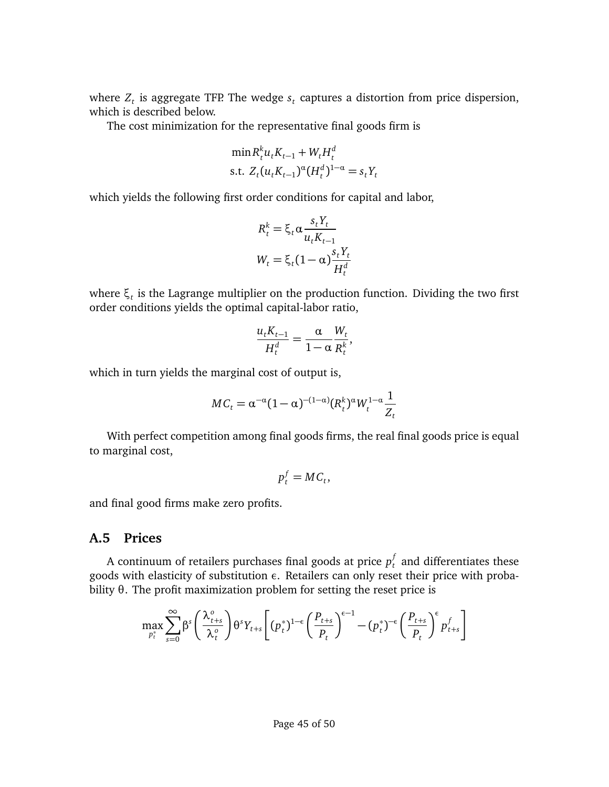where  $Z_t$  is aggregate TFP. The wedge  $s_t$  captures a distortion from price dispersion, which is described below.

The cost minimization for the representative final goods firm is

$$
\min R_t^k u_t K_{t-1} + W_t H_t^d
$$
  
s.t.  $Z_t (u_t K_{t-1})^{\alpha} (H_t^d)^{1-\alpha} = s_t Y_t$ 

which yields the following first order conditions for capital and labor,

$$
R_t^k = \xi_t \alpha \frac{s_t Y_t}{u_t K_{t-1}}
$$

$$
W_t = \xi_t (1 - \alpha) \frac{s_t Y_t}{H_t^d}
$$

where *ξ<sup>t</sup>* is the Lagrange multiplier on the production function. Dividing the two first order conditions yields the optimal capital-labor ratio,

$$
\frac{u_t K_{t-1}}{H_t^d} = \frac{\alpha}{1-\alpha} \frac{W_t}{R_t^k},
$$

which in turn yields the marginal cost of output is,

$$
MC_t = \alpha^{-\alpha} (1-\alpha)^{-(1-\alpha)} (R_t^k)^{\alpha} W_t^{1-\alpha} \frac{1}{Z_t}
$$

With perfect competition among final goods firms, the real final goods price is equal to marginal cost,

$$
p_t^f = MC_t,
$$

and final good firms make zero profits.

#### **A.5 Prices**

A continuum of retailers purchases final goods at price  $p_t^f$  and differentiates these goods with elasticity of substitution *ε*. Retailers can only reset their price with probability *θ*. The profit maximization problem for setting the reset price is

$$
\max_{p_t^*} \sum_{s=0}^{\infty} \beta^s \left(\frac{\lambda_{t+s}^o}{\lambda_t^o}\right) \theta^s Y_{t+s} \left[ (p_t^*)^{1-\epsilon} \left(\frac{P_{t+s}}{P_t}\right)^{\epsilon-1} - (p_t^*)^{-\epsilon} \left(\frac{P_{t+s}}{P_t}\right)^{\epsilon} p_{t+s}^f \right]
$$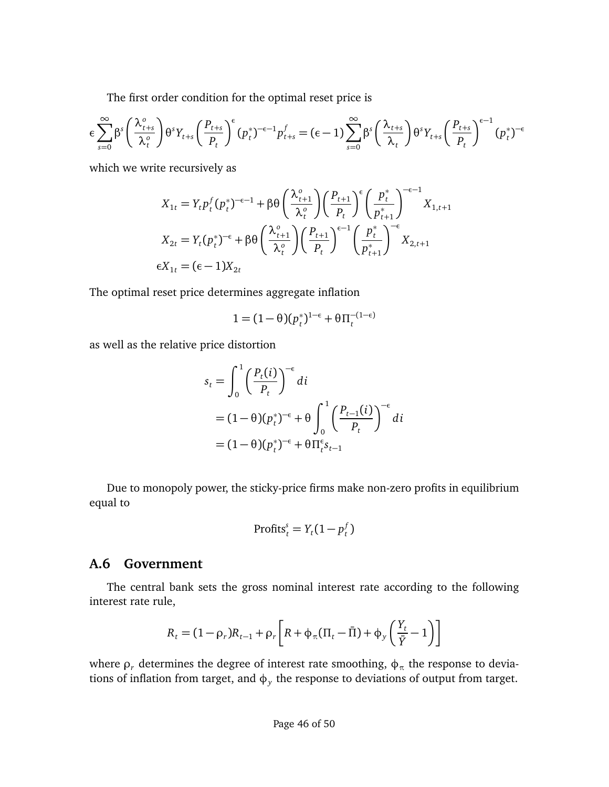The first order condition for the optimal reset price is

$$
\epsilon \sum_{s=0}^{\infty} \beta^s \left( \frac{\lambda_{t+s}^o}{\lambda_t^o} \right) \theta^s Y_{t+s} \left( \frac{P_{t+s}}{P_t} \right)^{\epsilon} (p_t^*)^{-\epsilon-1} p_{t+s}^f = (\epsilon - 1) \sum_{s=0}^{\infty} \beta^s \left( \frac{\lambda_{t+s}}{\lambda_t} \right) \theta^s Y_{t+s} \left( \frac{P_{t+s}}{P_t} \right)^{\epsilon-1} (p_t^*)^{-\epsilon}
$$

which we write recursively as

$$
X_{1t} = Y_t p_t^f (p_t^*)^{-\epsilon - 1} + \beta \theta \left(\frac{\lambda_{t+1}^o}{\lambda_t^o}\right) \left(\frac{p_{t+1}}{p_t}\right)^{\epsilon} \left(\frac{p_t^*}{p_{t+1}^*}\right)^{-\epsilon - 1} X_{1,t+1}
$$
  

$$
X_{2t} = Y_t (p_t^*)^{-\epsilon} + \beta \theta \left(\frac{\lambda_{t+1}^o}{\lambda_t^o}\right) \left(\frac{p_{t+1}}{p_t}\right)^{\epsilon - 1} \left(\frac{p_t^*}{p_{t+1}^*}\right)^{-\epsilon} X_{2,t+1}
$$
  

$$
\epsilon X_{1t} = (\epsilon - 1) X_{2t}
$$

The optimal reset price determines aggregate inflation

$$
1 = (1 - \theta)(p_t^*)^{1-\epsilon} + \theta \Pi_t^{-(1-\epsilon)}
$$

as well as the relative price distortion

$$
s_t = \int_0^1 \left(\frac{P_t(i)}{P_t}\right)^{-\epsilon} di
$$
  
=  $(1 - \theta)(p_t^*)^{-\epsilon} + \theta \int_0^1 \left(\frac{P_{t-1}(i)}{P_t}\right)^{-\epsilon} di$   
=  $(1 - \theta)(p_t^*)^{-\epsilon} + \theta \prod_{t=0}^{t} s_{t-1}$ 

Due to monopoly power, the sticky-price firms make non-zero profits in equilibrium equal to

$$
Profits_t^s = Y_t(1 - p_t^f)
$$

### **A.6 Government**

The central bank sets the gross nominal interest rate according to the following interest rate rule,

$$
R_t = (1 - \rho_r)R_{t-1} + \rho_r \left[ R + \phi_\pi (\Pi_t - \bar{\Pi}) + \phi_y \left( \frac{Y_t}{\bar{Y}} - 1 \right) \right]
$$

where *ρ<sup>r</sup>* determines the degree of interest rate smoothing, *φ<sup>π</sup>* the response to deviations of inflation from target, and *φ<sup>y</sup>* the response to deviations of output from target.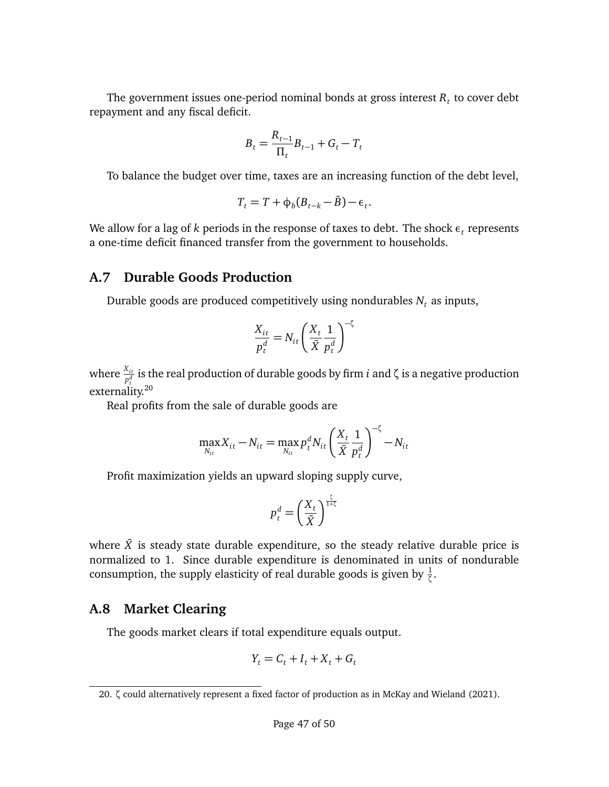The government issues one-period nominal bonds at gross interest  $R_t$  to cover debt repayment and any fiscal deficit.

$$
B_t = \frac{R_{t-1}}{\Pi_t} B_{t-1} + G_t - T_t
$$

To balance the budget over time, taxes are an increasing function of the debt level,

$$
T_t = T + \phi_b (B_{t-k} - \bar{B}) - \epsilon_t.
$$

We allow for a lag of  $k$  periods in the response of taxes to debt. The shock  $\epsilon^{}_t$  represents a one-time deficit financed transfer from the government to households.

### **A.7 Durable Goods Production**

Durable goods are produced competitively using nondurables  $N_t$  as inputs,

$$
\frac{X_{it}}{p_t^d} = N_{it} \left(\frac{X_t}{\bar{X}} \frac{1}{p_t^d}\right)^{-\zeta}
$$

where  $\frac{X_{it}}{p_t^d}$  is the real production of durable goods by firm  $i$  and  $\zeta$  is a negative production externality.<sup>[20](#page-46-0)</sup>

Real profits from the sale of durable goods are

$$
\max_{N_{it}} X_{it} - N_{it} = \max_{N_{it}} p_t^d N_{it} \left(\frac{X_t}{\bar{X}} \frac{1}{p_t^d}\right)^{-\zeta} - N_{it}
$$

Profit maximization yields an upward sloping supply curve,

$$
p_t^d = \left(\frac{X_t}{\bar{X}}\right)^{\frac{\zeta}{1+\zeta}}
$$

where  $\bar{X}$  is steady state durable expenditure, so the steady relative durable price is normalized to 1. Since durable expenditure is denominated in units of nondurable consumption, the supply elasticity of real durable goods is given by  $\frac{1}{\zeta}$ .

## **A.8 Market Clearing**

The goods market clears if total expenditure equals output.

$$
Y_t = C_t + I_t + X_t + G_t
$$

<span id="page-46-0"></span><sup>20.</sup> *ζ* could alternatively represent a fixed factor of production as in [McKay and Wieland](#page-39-8) [\(2021\)](#page-39-8).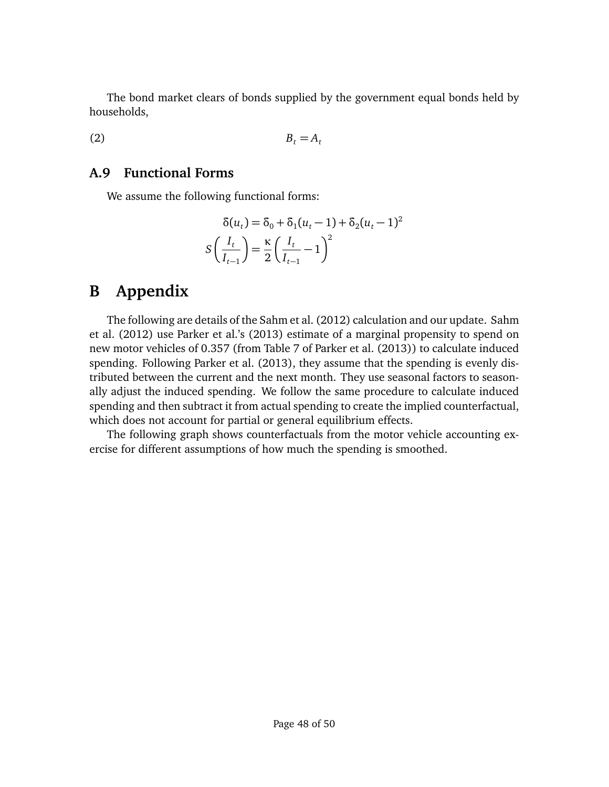The bond market clears of bonds supplied by the government equal bonds held by households,

 $B_t = A_t$ (2)

## **A.9 Functional Forms**

We assume the following functional forms:

$$
\delta(u_t) = \delta_0 + \delta_1 (u_t - 1) + \delta_2 (u_t - 1)^2
$$
  

$$
S\left(\frac{I_t}{I_{t-1}}\right) = \frac{\kappa}{2} \left(\frac{I_t}{I_{t-1}} - 1\right)^2
$$

# **B Appendix**

The following are details of the [Sahm et al.](#page-39-3) [\(2012\)](#page-39-3) calculation and our update. [Sahm](#page-39-3) [et al.](#page-39-3) [\(2012\)](#page-39-3) use [Parker et al.'](#page-39-4)s [\(2013\)](#page-39-4) estimate of a marginal propensity to spend on new motor vehicles of 0.357 (from Table 7 of [Parker et al.](#page-39-4) [\(2013\)](#page-39-4)) to calculate induced spending. Following [Parker et al.](#page-39-4) [\(2013\)](#page-39-4), they assume that the spending is evenly distributed between the current and the next month. They use seasonal factors to seasonally adjust the induced spending. We follow the same procedure to calculate induced spending and then subtract it from actual spending to create the implied counterfactual, which does not account for partial or general equilibrium effects.

The following graph shows counterfactuals from the motor vehicle accounting exercise for different assumptions of how much the spending is smoothed.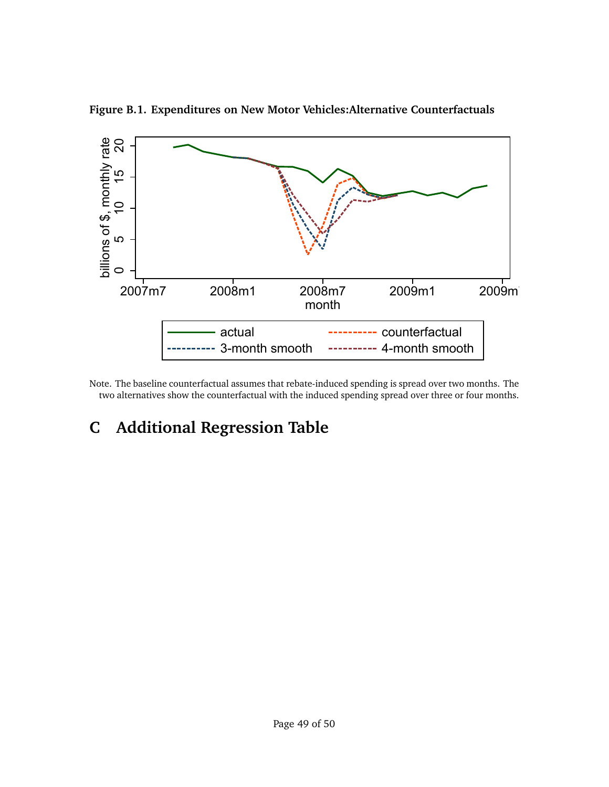![](_page_48_Figure_0.jpeg)

**Figure B.1. Expenditures on New Motor Vehicles:Alternative Counterfactuals**

Note. The baseline counterfactual assumes that rebate-induced spending is spread over two months. The two alternatives show the counterfactual with the induced spending spread over three or four months.

# **C Additional Regression Table**